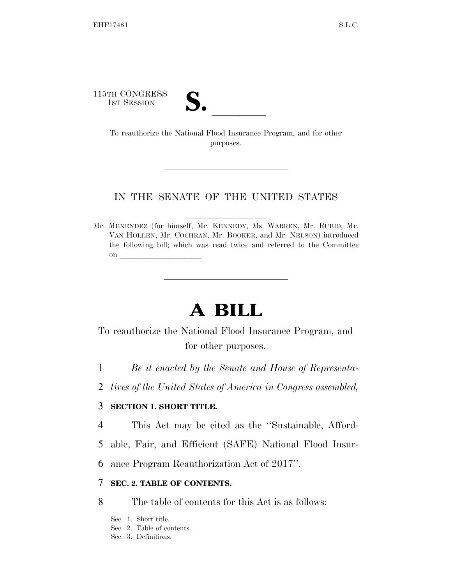115TH CONGRESS

TH CONGRESS<br>
1st Session<br>
To reauthorize the National Flood Insurance Program, and for other purposes.

#### IN THE SENATE OF THE UNITED STATES

Mr. MENENDEZ (for himself, Mr. KENNEDY, Ms. WARREN, Mr. RUBIO, Mr. VAN HOLLEN, Mr. COCHRAN, Mr. BOOKER, and Mr. NELSON) introduced the following bill; which was read twice and referred to the Committee on  $\overline{\qquad \qquad }$ 

# **A BILL**

## To reauthorize the National Flood Insurance Program, and for other purposes.

- 1 *Be it enacted by the Senate and House of Representa-*
- 2 *tives of the United States of America in Congress assembled,*

## 3 **SECTION 1. SHORT TITLE.**

- 4 This Act may be cited as the ''Sustainable, Afford-
- 5 able, Fair, and Efficient (SAFE) National Flood Insur-
- 6 ance Program Reauthorization Act of 2017''.

### 7 **SEC. 2. TABLE OF CONTENTS.**

8 The table of contents for this Act is as follows:

Sec. 1. Short title. Sec. 2. Table of contents. Sec. 3. Definitions.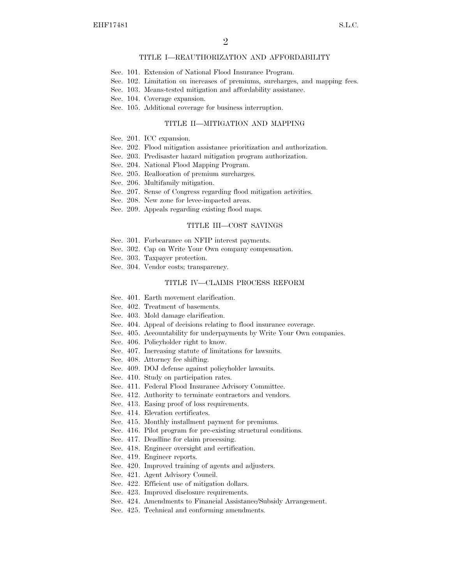#### TITLE I—REAUTHORIZATION AND AFFORDABILITY

- Sec. 101. Extension of National Flood Insurance Program.
- Sec. 102. Limitation on increases of premiums, surcharges, and mapping fees.
- Sec. 103. Means-tested mitigation and affordability assistance.
- Sec. 104. Coverage expansion.
- Sec. 105. Additional coverage for business interruption.

#### TITLE II—MITIGATION AND MAPPING

- Sec. 201. ICC expansion.
- Sec. 202. Flood mitigation assistance prioritization and authorization.
- Sec. 203. Predisaster hazard mitigation program authorization.
- Sec. 204. National Flood Mapping Program.
- Sec. 205. Reallocation of premium surcharges.
- Sec. 206. Multifamily mitigation.
- Sec. 207. Sense of Congress regarding flood mitigation activities.
- Sec. 208. New zone for levee-impacted areas.
- Sec. 209. Appeals regarding existing flood maps.

#### TITLE III—COST SAVINGS

- Sec. 301. Forbearance on NFIP interest payments.
- Sec. 302. Cap on Write Your Own company compensation.
- Sec. 303. Taxpayer protection.
- Sec. 304. Vendor costs; transparency.

#### TITLE IV—CLAIMS PROCESS REFORM

- Sec. 401. Earth movement clarification.
- Sec. 402. Treatment of basements.
- Sec. 403. Mold damage clarification.
- Sec. 404. Appeal of decisions relating to flood insurance coverage.
- Sec. 405. Accountability for underpayments by Write Your Own companies.
- Sec. 406. Policyholder right to know.
- Sec. 407. Increasing statute of limitations for lawsuits.
- Sec. 408. Attorney fee shifting.
- Sec. 409. DOJ defense against policyholder lawsuits.
- Sec. 410. Study on participation rates.
- Sec. 411. Federal Flood Insurance Advisory Committee.
- Sec. 412. Authority to terminate contractors and vendors.
- Sec. 413. Easing proof of loss requirements.
- Sec. 414. Elevation certificates.
- Sec. 415. Monthly installment payment for premiums.
- Sec. 416. Pilot program for pre-existing structural conditions.
- Sec. 417. Deadline for claim processing.
- Sec. 418. Engineer oversight and certification.
- Sec. 419. Engineer reports.
- Sec. 420. Improved training of agents and adjusters.
- Sec. 421. Agent Advisory Council.
- Sec. 422. Efficient use of mitigation dollars.
- Sec. 423. Improved disclosure requirements.
- Sec. 424. Amendments to Financial Assistance/Subsidy Arrangement.
- Sec. 425. Technical and conforming amendments.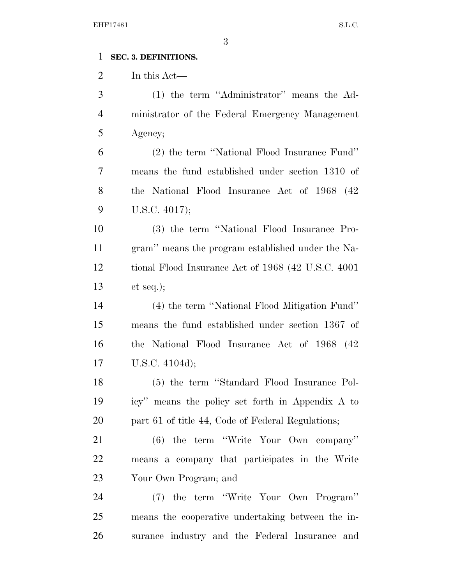## **SEC. 3. DEFINITIONS.**

In this Act—

| 3              | (1) the term "Administrator" means the Ad-          |
|----------------|-----------------------------------------------------|
| $\overline{4}$ | ministrator of the Federal Emergency Management     |
| 5              | Agency;                                             |
| 6              | (2) the term "National Flood Insurance Fund"        |
| 7              | means the fund established under section 1310 of    |
| 8              | the National Flood Insurance Act of 1968 (42)       |
| 9              | U.S.C. 4017);                                       |
| 10             | (3) the term "National Flood Insurance Pro-         |
| 11             | gram" means the program established under the Na-   |
| 12             | tional Flood Insurance Act of 1968 (42 U.S.C. 4001) |
| 13             | et seq.);                                           |
| 14             | (4) the term "National Flood Mitigation Fund"       |
| 15             | means the fund established under section 1367 of    |
| 16             | the National Flood Insurance Act of 1968 (42        |
| 17             | U.S.C. 4104d);                                      |
| 18             | (5) the term "Standard Flood Insurance Pol-         |
| 19             | icy" means the policy set forth in Appendix A to    |
| 20             | part 61 of title 44, Code of Federal Regulations;   |
| 21             | (6) the term "Write Your Own company"               |
| 22             | means a company that participates in the Write      |
| 23             | Your Own Program; and                               |
| 24             | (7) the term "Write Your Own Program"               |
| 25             | means the cooperative undertaking between the in-   |
| 26             | surance industry and the Federal Insurance and      |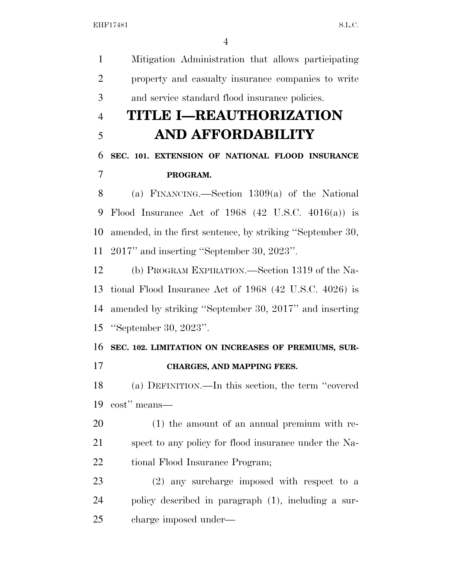Mitigation Administration that allows participating property and casualty insurance companies to write and service standard flood insurance policies. **TITLE I—REAUTHORIZATION AND AFFORDABILITY SEC. 101. EXTENSION OF NATIONAL FLOOD INSURANCE PROGRAM.**  (a) FINANCING.—Section 1309(a) of the National Flood Insurance Act of 1968 (42 U.S.C. 4016(a)) is amended, in the first sentence, by striking ''September 30, 2017'' and inserting ''September 30, 2023''. (b) PROGRAM EXPIRATION.—Section 1319 of the Na- tional Flood Insurance Act of 1968 (42 U.S.C. 4026) is amended by striking ''September 30, 2017'' and inserting ''September 30, 2023''. **SEC. 102. LIMITATION ON INCREASES OF PREMIUMS, SUR- CHARGES, AND MAPPING FEES.**  (a) DEFINITION.—In this section, the term ''covered cost'' means— (1) the amount of an annual premium with re- spect to any policy for flood insurance under the Na-22 tional Flood Insurance Program; (2) any surcharge imposed with respect to a policy described in paragraph (1), including a sur-charge imposed under—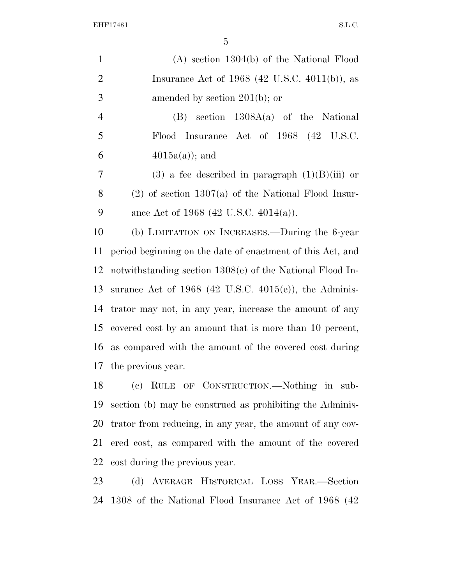| $\mathbf{1}$   | $(A)$ section 1304(b) of the National Flood                         |
|----------------|---------------------------------------------------------------------|
| $\mathfrak{2}$ | Insurance Act of $1968$ (42 U.S.C. 4011(b)), as                     |
| $\mathfrak{Z}$ | amended by section $201(b)$ ; or                                    |
| $\overline{4}$ | $(B)$ section $1308A(a)$ of the National                            |
| 5              | Flood Insurance Act of 1968 (42 U.S.C.                              |
| 6              | $4015a(a)$ ; and                                                    |
| $\overline{7}$ | $(3)$ a fee described in paragraph $(1)(B)(iii)$ or                 |
| 8              | $(2)$ of section 1307(a) of the National Flood Insur-               |
| 9              | ance Act of 1968 (42 U.S.C. 4014(a)).                               |
| 10             | (b) LIMITATION ON INCREASES.—During the 6-year                      |
| 11             | period beginning on the date of enactment of this Act, and          |
| 12             | notwithstanding section $1308(e)$ of the National Flood In-         |
| 13             | surance Act of $1968$ (42 U.S.C. 4015(e)), the Adminis-             |
| 14             | trator may not, in any year, increase the amount of any             |
| 15             | covered cost by an amount that is more than 10 percent,             |
| 16             | as compared with the amount of the covered cost during              |
| 17             | the previous year.                                                  |
| 18             | RULE OF CONSTRUCTION.—Nothing in sub-<br>$\left( \mathrm{e}\right)$ |
| 19             | section (b) may be construed as prohibiting the Adminis-            |
| 20             | trator from reducing, in any year, the amount of any cov-           |

 ered cost, as compared with the amount of the covered cost during the previous year.

 (d) AVERAGE HISTORICAL LOSS YEAR.—Section 1308 of the National Flood Insurance Act of 1968 (42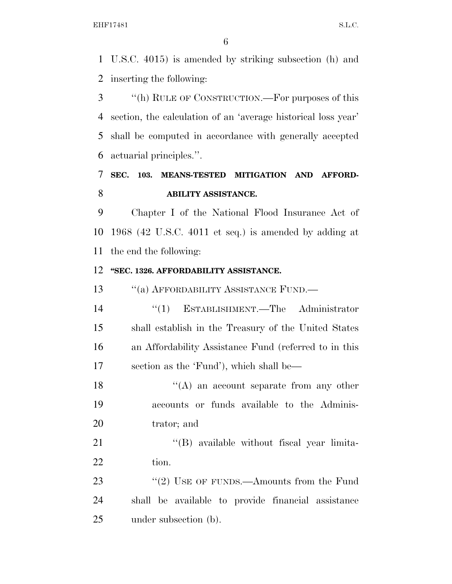U.S.C. 4015) is amended by striking subsection (h) and inserting the following:

 ''(h) RULE OF CONSTRUCTION.—For purposes of this section, the calculation of an 'average historical loss year' shall be computed in accordance with generally accepted actuarial principles.''.

## **SEC. 103. MEANS-TESTED MITIGATION AND AFFORD-ABILITY ASSISTANCE.**

 Chapter I of the National Flood Insurance Act of 1968 (42 U.S.C. 4011 et seq.) is amended by adding at the end the following:

#### **''SEC. 1326. AFFORDABILITY ASSISTANCE.**

13 "(a) AFFORDABILITY ASSISTANCE FUND.—

 ''(1) ESTABLISHMENT.—The Administrator shall establish in the Treasury of the United States an Affordability Assistance Fund (referred to in this section as the 'Fund'), which shall be—

18 ''(A) an account separate from any other accounts or funds available to the Adminis-trator; and

21 ''(B) available without fiscal year limita-22 tion.

23 "(2) USE OF FUNDS.—Amounts from the Fund shall be available to provide financial assistance under subsection (b).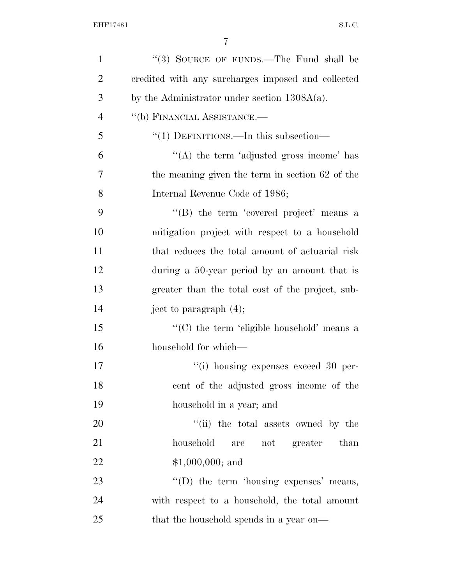| $\mathbf{1}$   | "(3) SOURCE OF FUNDS.—The Fund shall be            |
|----------------|----------------------------------------------------|
| $\overline{2}$ | credited with any surcharges imposed and collected |
| 3              | by the Administrator under section $1308A(a)$ .    |
| $\overline{4}$ | "(b) FINANCIAL ASSISTANCE.-                        |
| 5              | " $(1)$ DEFINITIONS.—In this subsection—           |
| 6              | "(A) the term 'adjusted gross income' has          |
| $\overline{7}$ | the meaning given the term in section 62 of the    |
| 8              | Internal Revenue Code of 1986;                     |
| 9              | "(B) the term 'covered project' means a            |
| 10             | mitigation project with respect to a household     |
| 11             | that reduces the total amount of actuarial risk    |
| 12             | during a 50-year period by an amount that is       |
| 13             | greater than the total cost of the project, sub-   |
| 14             | ject to paragraph $(4)$ ;                          |
| 15             | "(C) the term 'eligible household' means a         |
| 16             | household for which—                               |
| 17             | $``(i)$ housing expenses exceed 30 per-            |
| 18             | cent of the adjusted gross income of the           |
| 19             | household in a year; and                           |
| 20             | "(ii) the total assets owned by the                |
| 21             | household<br>not greater than<br>are               |
| 22             | $$1,000,000;$ and                                  |
| 23             | $\lq\lq$ the term 'housing expenses' means,        |
| 24             | with respect to a household, the total amount      |
| 25             | that the household spends in a year on—            |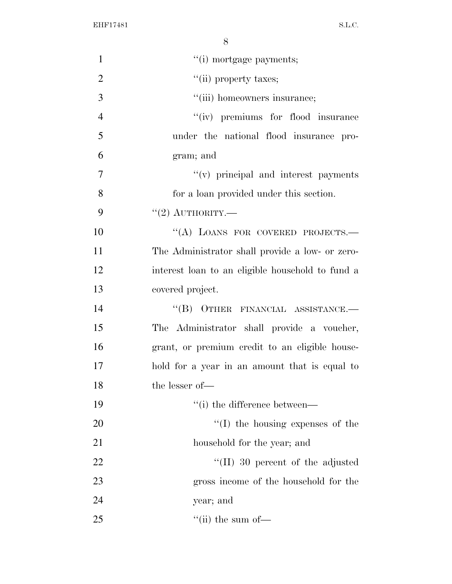| $\mathbf{1}$   | "(i) mortgage payments;                          |
|----------------|--------------------------------------------------|
| $\overline{2}$ | "(ii) property taxes;                            |
| 3              | "(iii) homeowners insurance;                     |
| $\overline{4}$ | "(iv) premiums for flood insurance               |
| 5              | under the national flood insurance pro-          |
| 6              | gram; and                                        |
| $\tau$         | "(v) principal and interest payments             |
| 8              | for a loan provided under this section.          |
| 9              | "(2) AUTHORITY.—                                 |
| 10             | "(A) LOANS FOR COVERED PROJECTS.-                |
| 11             | The Administrator shall provide a low- or zero-  |
| 12             | interest loan to an eligible household to fund a |
| 13             | covered project.                                 |
| 14             | "(B) OTHER FINANCIAL ASSISTANCE.-                |
| 15             | The Administrator shall provide a voucher,       |
| 16             | grant, or premium credit to an eligible house-   |
| 17             | hold for a year in an amount that is equal to    |
| 18             | the lesser of-                                   |
| 19             | "(i) the difference between—                     |
| 20             | $\lq\lq$ (I) the housing expenses of the         |
| 21             | household for the year; and                      |
| 22             | $\lq$ (II) 30 percent of the adjusted            |
| 23             | gross income of the household for the            |
| 24             | year; and                                        |
| 25             | $\lq\lq$ (ii) the sum of —                       |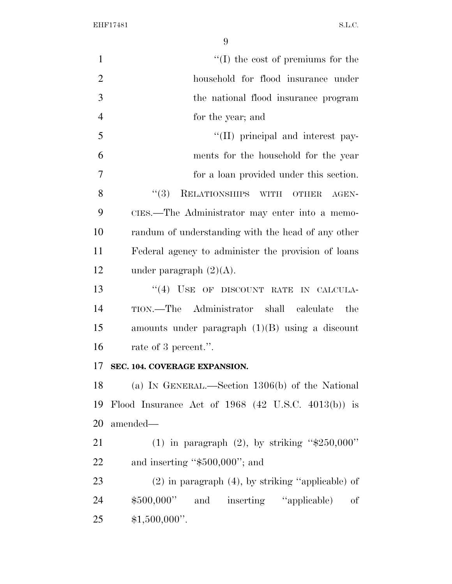| $\mathbf{1}$   | $\lq\lq$ (I) the cost of premiums for the              |
|----------------|--------------------------------------------------------|
| $\overline{2}$ | household for flood insurance under                    |
| 3              | the national flood insurance program                   |
| $\overline{4}$ | for the year; and                                      |
| 5              | "(II) principal and interest pay-                      |
| 6              | ments for the household for the year                   |
| $\overline{7}$ | for a loan provided under this section.                |
| 8              | RELATIONSHIPS WITH OTHER<br>(3)<br>AGEN-               |
| 9              | CIES.—The Administrator may enter into a memo-         |
| 10             | randum of understanding with the head of any other     |
| 11             | Federal agency to administer the provision of loans    |
| 12             | under paragraph $(2)(A)$ .                             |
| 13             | "(4) USE OF DISCOUNT RATE IN CALCULA-                  |
| 14             | TION.—The Administrator shall calculate<br>the         |
| 15             | amounts under paragraph $(1)(B)$ using a discount      |
| 16             | rate of 3 percent.".                                   |
| 17             | SEC. 104. COVERAGE EXPANSION.                          |
| 18             | (a) IN GENERAL.—Section $1306(b)$ of the National      |
| 19             | Flood Insurance Act of $1968$ (42 U.S.C. 4013(b)) is   |
| 20             | amended-                                               |
| 21             | (1) in paragraph (2), by striking " $$250,000"$        |
| 22             | and inserting " $$500,000$ "; and                      |
| 23             | $(2)$ in paragraph $(4)$ , by striking "applicable) of |
| 24             | \$500,000" and inserting "applicable) of               |
| 25             | $$1,500,000$ ".                                        |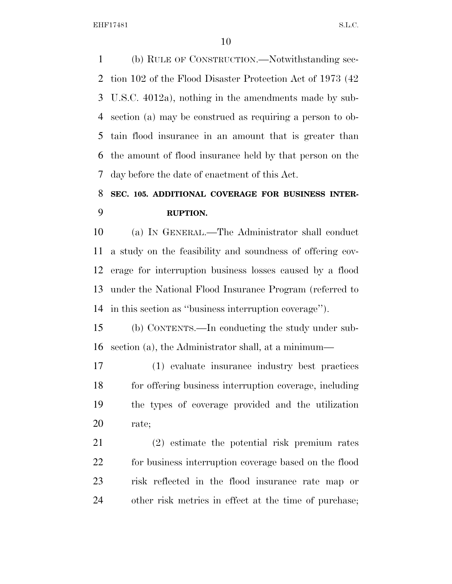(b) RULE OF CONSTRUCTION.—Notwithstanding sec- tion 102 of the Flood Disaster Protection Act of 1973 (42 U.S.C. 4012a), nothing in the amendments made by sub- section (a) may be construed as requiring a person to ob- tain flood insurance in an amount that is greater than the amount of flood insurance held by that person on the day before the date of enactment of this Act.

## **SEC. 105. ADDITIONAL COVERAGE FOR BUSINESS INTER-RUPTION.**

 (a) IN GENERAL.—The Administrator shall conduct a study on the feasibility and soundness of offering cov- erage for interruption business losses caused by a flood under the National Flood Insurance Program (referred to in this section as ''business interruption coverage'').

 (b) CONTENTS.—In conducting the study under sub-section (a), the Administrator shall, at a minimum—

 (1) evaluate insurance industry best practices for offering business interruption coverage, including the types of coverage provided and the utilization rate;

 (2) estimate the potential risk premium rates for business interruption coverage based on the flood risk reflected in the flood insurance rate map or other risk metrics in effect at the time of purchase;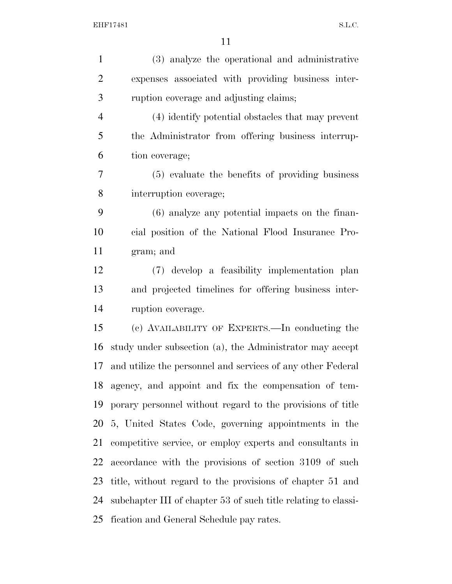| $\mathbf{1}$   | (3) analyze the operational and administrative                 |
|----------------|----------------------------------------------------------------|
| $\overline{2}$ | expenses associated with providing business inter-             |
| 3              | ruption coverage and adjusting claims;                         |
| $\overline{4}$ | (4) identify potential obstacles that may prevent              |
| 5              | the Administrator from offering business interrup-             |
| 6              | tion coverage;                                                 |
| $\overline{7}$ | (5) evaluate the benefits of providing business                |
| 8              | interruption coverage;                                         |
| 9              | $(6)$ analyze any potential impacts on the finan-              |
| 10             | cial position of the National Flood Insurance Pro-             |
| 11             | gram; and                                                      |
| 12             | (7) develop a feasibility implementation plan                  |
| 13             | and projected timelines for offering business inter-           |
| 14             | ruption coverage.                                              |
| 15             | (c) AVAILABILITY OF EXPERTS.—In conducting the                 |
| 16             | study under subsection (a), the Administrator may accept       |
| 17             | and utilize the personnel and services of any other Federal    |
|                | 18 agency, and appoint and fix the compensation of tem-        |
| 19             | porary personnel without regard to the provisions of title     |
| 20             | 5, United States Code, governing appointments in the           |
| 21             | competitive service, or employ experts and consultants in      |
| 22             | accordance with the provisions of section 3109 of such         |
| 23             | title, without regard to the provisions of chapter 51 and      |
| 24             | subchapter III of chapter 53 of such title relating to classi- |
| 25             | fication and General Schedule pay rates.                       |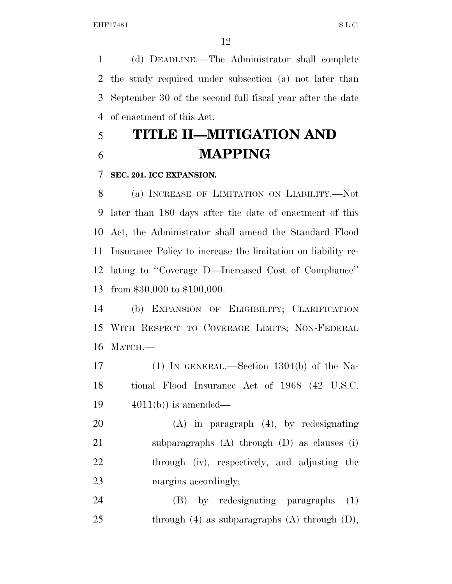(d) DEADLINE.—The Administrator shall complete the study required under subsection (a) not later than September 30 of the second full fiscal year after the date of enactment of this Act.

# **TITLE II—MITIGATION AND MAPPING**

### **SEC. 201. ICC EXPANSION.**

 (a) INCREASE OF LIMITATION ON LIABILITY.—Not later than 180 days after the date of enactment of this Act, the Administrator shall amend the Standard Flood Insurance Policy to increase the limitation on liability re- lating to ''Coverage D—Increased Cost of Compliance'' from \$30,000 to \$100,000.

 (b) EXPANSION OF ELIGIBILITY; CLARIFICATION WITH RESPECT TO COVERAGE LIMITS; NON-FEDERAL MATCH.—

 (1) IN GENERAL.—Section 1304(b) of the Na- tional Flood Insurance Act of 1968 (42 U.S.C. 19  $4011(b)$  is amended—

 (A) in paragraph (4), by redesignating subparagraphs (A) through (D) as clauses (i) through (iv), respectively, and adjusting the 23 margins accordingly;

 (B) by redesignating paragraphs (1) 25 through (4) as subparagraphs (A) through  $(D)$ ,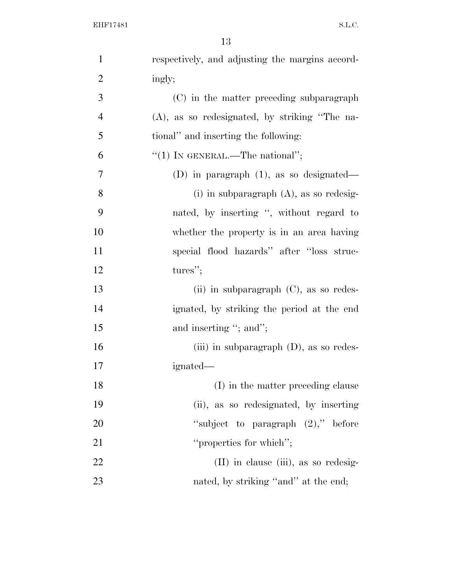| $\mathbf{1}$   | respectively, and adjusting the margins accord-  |
|----------------|--------------------------------------------------|
| $\overline{2}$ | ingly;                                           |
| 3              | (C) in the matter preceding subparagraph         |
| $\overline{4}$ | $(A)$ , as so redesignated, by striking "The na- |
| 5              | tional" and inserting the following:             |
| 6              | "(1) IN GENERAL.—The national";                  |
| 7              | (D) in paragraph $(1)$ , as so designated—       |
| 8              | (i) in subparagraph $(A)$ , as so redesig-       |
| 9              | nated, by inserting ", without regard to         |
| 10             | whether the property is in an area having        |
| 11             | special flood hazards" after "loss struc-        |
| 12             | tures";                                          |
| 13             | (ii) in subparagraph $(C)$ , as so redes-        |
| 14             | ignated, by striking the period at the end       |
| 15             | and inserting "; and";                           |
| 16             | (iii) in subparagraph $(D)$ , as so redes-       |
| 17             | ignated—                                         |
| 18             | (I) in the matter preceding clause               |
| 19             | (ii), as so redesignated, by inserting           |
| <b>20</b>      | "subject to paragraph $(2)$ ," before            |
| 21             | "properties for which";                          |
| 22             | $(II)$ in clause $(iii)$ , as so redesig-        |
| 23             | nated, by striking "and" at the end;             |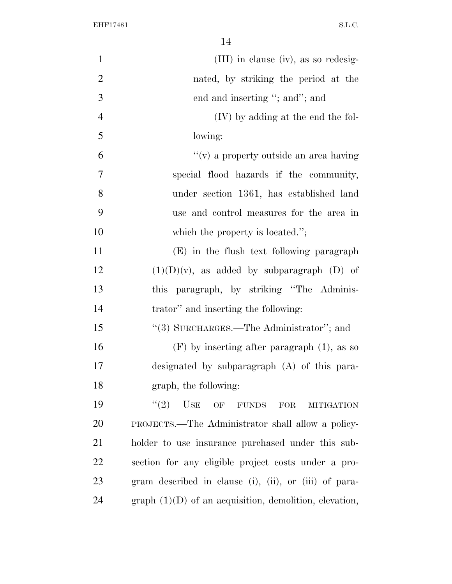| $\mathbf{1}$   | (III) in clause (iv), as so redesig-                      |
|----------------|-----------------------------------------------------------|
| $\overline{2}$ | nated, by striking the period at the                      |
| 3              | end and inserting "; and"; and                            |
| $\overline{4}$ | (IV) by adding at the end the fol-                        |
| 5              | lowing:                                                   |
| 6              | $f'(v)$ a property outside an area having                 |
| 7              | special flood hazards if the community,                   |
| 8              | under section 1361, has established land                  |
| 9              | use and control measures for the area in                  |
| 10             | which the property is located.";                          |
| 11             | (E) in the flush text following paragraph                 |
| 12             | $(1)(D)(v)$ , as added by subparagraph $(D)$ of           |
| 13             | this paragraph, by striking "The Adminis-                 |
| 14             | trator" and inserting the following:                      |
| 15             | "(3) SURCHARGES.—The Administrator"; and                  |
| 16             | $(F)$ by inserting after paragraph $(1)$ , as so          |
| 17             | designated by subparagraph (A) of this para-              |
| 18             | graph, the following:                                     |
| 19             | (2)<br><b>USE</b><br>OF FUNDS<br>FOR<br><b>MITIGATION</b> |
| 20             | PROJECTS.—The Administrator shall allow a policy-         |
| 21             | holder to use insurance purchased under this sub-         |
| 22             | section for any eligible project costs under a pro-       |
| 23             | gram described in clause (i), (ii), or (iii) of para-     |
| 24             | graph $(1)(D)$ of an acquisition, demolition, elevation,  |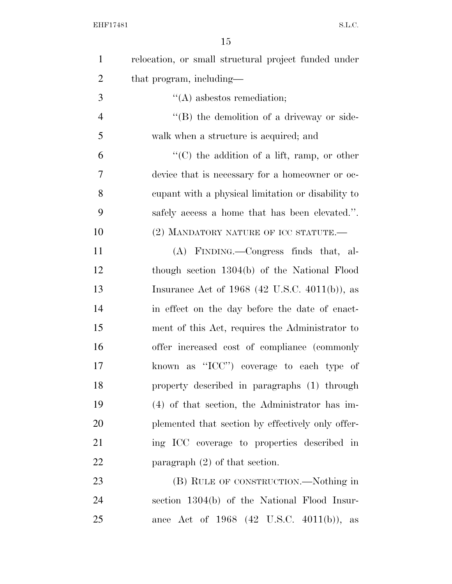| $\mathbf{1}$   | relocation, or small structural project funded under                                                                                                                                                                          |
|----------------|-------------------------------------------------------------------------------------------------------------------------------------------------------------------------------------------------------------------------------|
| $\overline{2}$ | that program, including—                                                                                                                                                                                                      |
| 3              | $\lq\lq$ as best os remediation;                                                                                                                                                                                              |
| $\overline{4}$ | $\lq\lq (B)$ the demolition of a driveway or side-                                                                                                                                                                            |
| 5              | walk when a structure is acquired; and                                                                                                                                                                                        |
| 6              | $\lq\lq$ (C) the addition of a lift, ramp, or other                                                                                                                                                                           |
| 7              | device that is necessary for a homeowner or oc-                                                                                                                                                                               |
| 8              | equal capacity to equal to equal to equal to equal to equal to equal to equal to equal to equal to equal to equal to equal to equal to equal to equal to equal to equal to equal to equal to equal to equal to equal to equal |
| 9              | safely access a home that has been elevated.".                                                                                                                                                                                |
| 10             | (2) MANDATORY NATURE OF ICC STATUTE.-                                                                                                                                                                                         |
| 11             | (A) FINDING.—Congress finds that, al-                                                                                                                                                                                         |
| 12             | though section 1304(b) of the National Flood                                                                                                                                                                                  |
| 13             | Insurance Act of $1968$ (42 U.S.C. 4011(b)), as                                                                                                                                                                               |
| 14             | in effect on the day before the date of enact-                                                                                                                                                                                |
| 15             | ment of this Act, requires the Administrator to                                                                                                                                                                               |
| 16             | offer increased cost of compliance (commonly                                                                                                                                                                                  |
| 17             | known as "ICC") coverage to each type of                                                                                                                                                                                      |
| 18             | property described in paragraphs (1) through                                                                                                                                                                                  |
| 19             | $(4)$ of that section, the Administrator has im-                                                                                                                                                                              |
| 20             | plemented that section by effectively only offer-                                                                                                                                                                             |
| 21             | ing ICC coverage to properties described in                                                                                                                                                                                   |
| 22             | paragraph $(2)$ of that section.                                                                                                                                                                                              |
| 23             | (B) RULE OF CONSTRUCTION.—Nothing in                                                                                                                                                                                          |
| 24             | section 1304(b) of the National Flood Insur-                                                                                                                                                                                  |
| 25             | ance Act of 1968 (42 U.S.C. 4011(b)), as                                                                                                                                                                                      |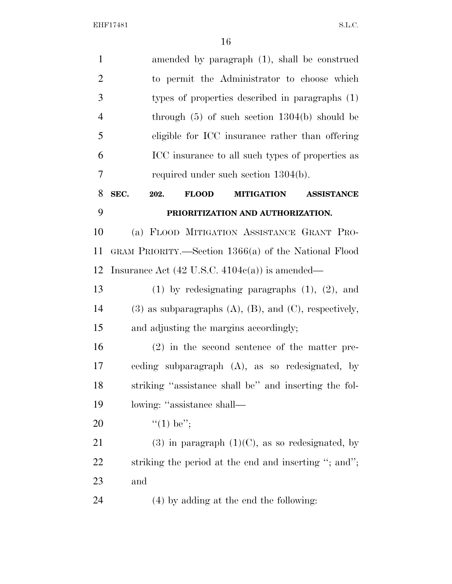| $\mathbf{1}$   | amended by paragraph (1), shall be construed                           |
|----------------|------------------------------------------------------------------------|
| $\overline{2}$ | to permit the Administrator to choose which                            |
| 3              | types of properties described in paragraphs (1)                        |
| $\overline{4}$ | through $(5)$ of such section 1304(b) should be                        |
| 5              | eligible for ICC insurance rather than offering                        |
| 6              | ICC insurance to all such types of properties as                       |
| $\tau$         | required under such section $1304(b)$ .                                |
| 8              | SEC.<br><b>FLOOD</b><br>202.<br><b>MITIGATION</b><br><b>ASSISTANCE</b> |
| 9              | PRIORITIZATION AND AUTHORIZATION.                                      |
| 10             | (a) FLOOD MITIGATION ASSISTANCE GRANT PRO-                             |
| 11             | GRAM PRIORITY.—Section 1366(a) of the National Flood                   |
| 12             | Insurance Act $(42 \text{ U.S.C. } 4104c(a))$ is amended—              |
| 13             | $(1)$ by redesignating paragraphs $(1)$ , $(2)$ , and                  |
| 14             | $(3)$ as subparagraphs $(A)$ , $(B)$ , and $(C)$ , respectively,       |
| 15             | and adjusting the margins accordingly;                                 |
| 16             | $(2)$ in the second sentence of the matter pre-                        |
| 17             | ceding subparagraph (A), as so redesignated, by                        |
| 18             | striking "assistance shall be" and inserting the fol-                  |
| 19             | lowing: "assistance shall—                                             |
| 20             | "(1) be";                                                              |
| 21             | $(3)$ in paragraph $(1)(C)$ , as so redesignated, by                   |
| 22             | striking the period at the end and inserting "; and";                  |
| 23             | and                                                                    |
| 24             | (4) by adding at the end the following:                                |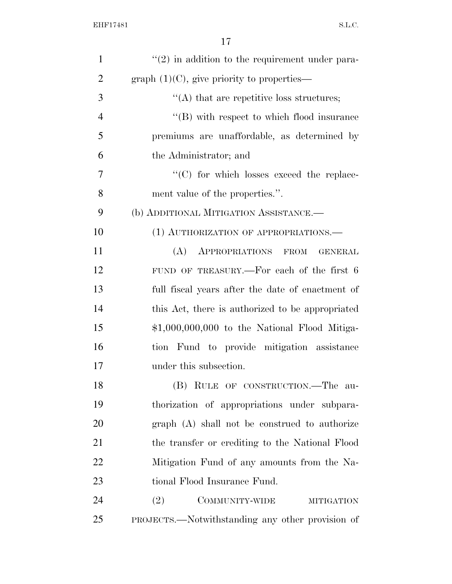| $\mathbf{1}$   | $\lq(2)$ in addition to the requirement under para- |
|----------------|-----------------------------------------------------|
| $\overline{2}$ | graph $(1)(C)$ , give priority to properties—       |
| 3              | $\lq\lq$ that are repetitive loss structures;       |
| $\overline{4}$ | $\lq\lq$ with respect to which flood insurance      |
| 5              | premiums are unaffordable, as determined by         |
| 6              | the Administrator; and                              |
| $\overline{7}$ | $\cdot$ (C) for which losses exceed the replace-    |
| 8              | ment value of the properties.".                     |
| 9              | (b) ADDITIONAL MITIGATION ASSISTANCE.-              |
| 10             | (1) AUTHORIZATION OF APPROPRIATIONS.—               |
| 11             | (A) APPROPRIATIONS FROM<br><b>GENERAL</b>           |
| 12             | FUND OF TREASURY.—For each of the first 6           |
| 13             | full fiscal years after the date of enactment of    |
| 14             | this Act, there is authorized to be appropriated    |
| 15             | $$1,000,000,000$ to the National Flood Mitiga-      |
| 16             | tion Fund to provide mitigation assistance          |
| 17             | under this subsection.                              |
| 18             | (B) RULE OF CONSTRUCTION.—The au-                   |
| 19             | thorization of appropriations under subpara-        |
| 20             | graph (A) shall not be construed to authorize       |
| 21             | the transfer or crediting to the National Flood     |
| 22             | Mitigation Fund of any amounts from the Na-         |
| 23             | tional Flood Insurance Fund.                        |
| 24             | (2)<br>COMMUNITY-WIDE<br><b>MITIGATION</b>          |
| 25             | PROJECTS.—Notwithstanding any other provision of    |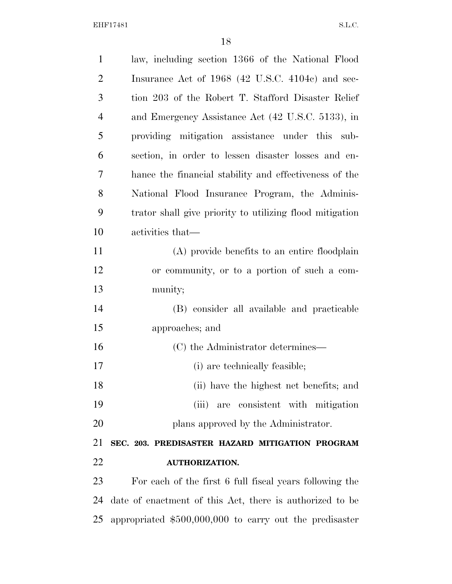| $\mathbf{1}$   | law, including section 1366 of the National Flood        |
|----------------|----------------------------------------------------------|
| $\overline{2}$ | Insurance Act of 1968 (42 U.S.C. 4104c) and sec-         |
| 3              | tion 203 of the Robert T. Stafford Disaster Relief       |
| $\overline{4}$ | and Emergency Assistance Act (42 U.S.C. 5133), in        |
| 5              | providing mitigation assistance under this sub-          |
| 6              | section, in order to lessen disaster losses and en-      |
| 7              | hance the financial stability and effectiveness of the   |
| 8              | National Flood Insurance Program, the Adminis-           |
| 9              | trator shall give priority to utilizing flood mitigation |
| 10             | activities that—                                         |
| 11             | (A) provide benefits to an entire floodplain             |
| 12             | or community, or to a portion of such a com-             |
| 13             | munity;                                                  |
| 14             | (B) consider all available and practicable               |
| 15             | approaches; and                                          |
| 16             | (C) the Administrator determines—                        |
| 17             | (i) are technically feasible;                            |
| 18             | (ii) have the highest net benefits; and                  |
| 19             | (iii) are consistent with mitigation                     |
| 20             | plans approved by the Administrator.                     |
| 21             | SEC. 203. PREDISASTER HAZARD MITIGATION PROGRAM          |
| 22             | <b>AUTHORIZATION.</b>                                    |
| 23             | For each of the first 6 full fiscal years following the  |
| 24             | date of enactment of this Act, there is authorized to be |
| 25             | appropriated $$500,000,000$ to carry out the predisaster |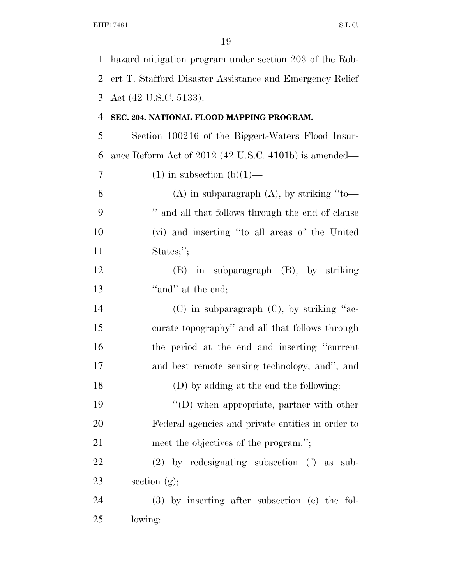| $\mathbf 1$ | hazard mitigation program under section 203 of the Rob-  |
|-------------|----------------------------------------------------------|
| 2           | ert T. Stafford Disaster Assistance and Emergency Relief |
| 3           | Act (42 U.S.C. 5133).                                    |
| 4           | SEC. 204. NATIONAL FLOOD MAPPING PROGRAM.                |
| 5           | Section 100216 of the Biggert-Waters Flood Insur-        |
| 6           | ance Reform Act of 2012 (42 U.S.C. 4101b) is amended—    |
| 7           | $(1)$ in subsection $(b)(1)$ —                           |
| 8           | $(A)$ in subparagraph $(A)$ , by striking "to-           |
| 9           | " and all that follows through the end of clause         |
| 10          | (vi) and inserting "to all areas of the United           |
| 11          | States;";                                                |
| 12          | $(B)$ in subparagraph $(B)$ , by striking                |
| 13          | "and" at the end;                                        |
| 14          | $(C)$ in subparagraph $(C)$ , by striking "ac-           |
| 15          | curate topography" and all that follows through          |
| 16          | the period at the end and inserting "current"            |
| 17          | and best remote sensing technology; and"; and            |
| 18          | (D) by adding at the end the following:                  |
| 19          | $\lq\lq$ ) when appropriate, partner with other          |
| 20          | Federal agencies and private entities in order to        |
| 21          | meet the objectives of the program.";                    |
| 22          | $(2)$ by redesignating subsection $(f)$ as<br>sub-       |
| 23          | section $(g)$ ;                                          |
| 24          | $(3)$ by inserting after subsection (e) the fol-         |
| 25          | lowing:                                                  |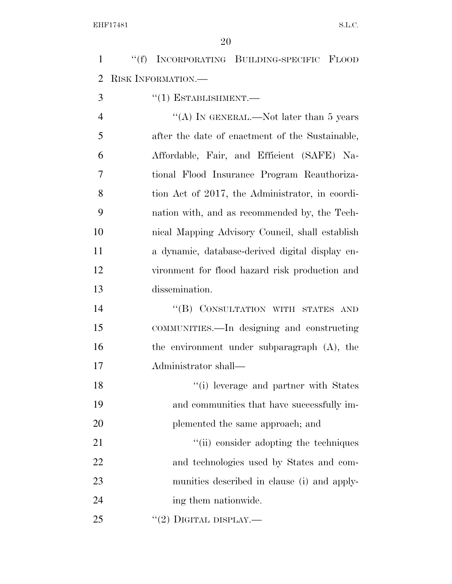''(f) INCORPORATING BUILDING-SPECIFIC FLOOD RISK INFORMATION.—

''(1) ESTABLISHMENT.—

4 ''(A) IN GENERAL.—Not later than 5 years after the date of enactment of the Sustainable, Affordable, Fair, and Efficient (SAFE) Na- tional Flood Insurance Program Reauthoriza- tion Act of 2017, the Administrator, in coordi- nation with, and as recommended by, the Tech- nical Mapping Advisory Council, shall establish a dynamic, database-derived digital display en- vironment for flood hazard risk production and dissemination.

14 "(B) CONSULTATION WITH STATES AND COMMUNITIES.—In designing and constructing the environment under subparagraph (A), the Administrator shall—

18 ''(i) leverage and partner with States and communities that have successfully im-20 plemented the same approach; and

21 ''(ii) consider adopting the techniques and technologies used by States and com- munities described in clause (i) and apply-24 ing them nationwide.

 $(2)$  DIGITAL DISPLAY.—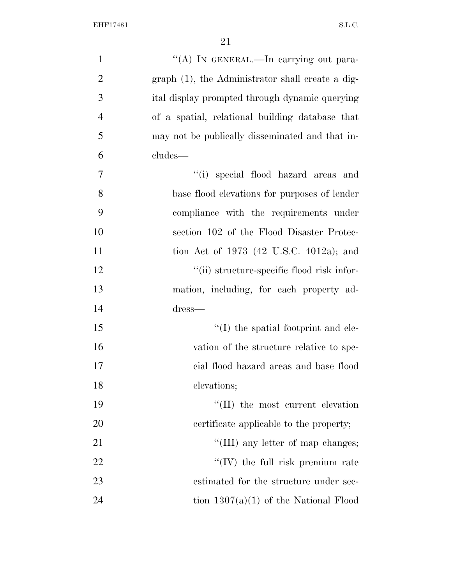| $\mathbf{1}$   | "(A) IN GENERAL.—In carrying out para-             |
|----------------|----------------------------------------------------|
| $\overline{2}$ | $graph(1)$ , the Administrator shall create a dig- |
| 3              | ital display prompted through dynamic querying     |
| $\overline{4}$ | of a spatial, relational building database that    |
| 5              | may not be publically disseminated and that in-    |
| 6              | cludes—                                            |
| 7              | "(i) special flood hazard areas and                |
| 8              | base flood elevations for purposes of lender       |
| 9              | compliance with the requirements under             |
| 10             | section 102 of the Flood Disaster Protec-          |
| 11             | tion Act of 1973 (42 U.S.C. 4012a); and            |
| 12             | "(ii) structure-specific flood risk infor-         |
| 13             | mation, including, for each property ad-           |
| 14             | dress—                                             |
| 15             | $\lq\lq$ (I) the spatial footprint and ele-        |
| 16             | vation of the structure relative to spe-           |
| 17             | cial flood hazard areas and base flood             |
| 18             | elevations;                                        |
| 19             | $\lq\lq$ (II) the most current elevation           |
| 20             | certificate applicable to the property;            |
| 21             | "(III) any letter of map changes;                  |
| 22             | $\lq\lq$ (IV) the full risk premium rate           |
| 23             | estimated for the structure under sec-             |
| 24             | tion $1307(a)(1)$ of the National Flood            |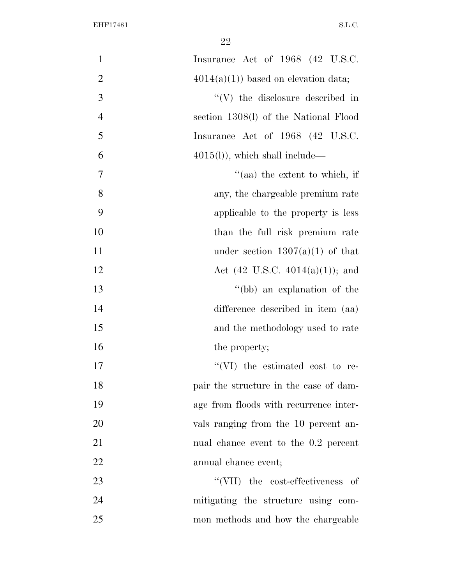| $\mathbf{1}$   | Insurance Act of 1968 (42 U.S.C.           |
|----------------|--------------------------------------------|
| $\overline{2}$ | $4014(a)(1)$ based on elevation data;      |
| 3              | $\lq\lq(V)$ the disclosure described in    |
| $\overline{4}$ | section 1308(l) of the National Flood      |
| 5              | Insurance Act of 1968 (42 U.S.C.           |
| 6              | $4015(l)$ , which shall include—           |
| 7              | $\cdot$ (aa) the extent to which, if       |
| 8              | any, the chargeable premium rate           |
| 9              | applicable to the property is less         |
| 10             | than the full risk premium rate            |
| 11             | under section $1307(a)(1)$ of that         |
| 12             | Act $(42 \text{ U.S.C. } 4014(a)(1));$ and |
| 13             | "(bb) an explanation of the                |
| 14             | difference described in item (aa)          |
| 15             | and the methodology used to rate           |
| 16             | the property;                              |
| 17             | "(VI) the estimated cost to re-            |
| 18             | pair the structure in the case of dam-     |
| 19             | age from floods with recurrence inter-     |
| 20             | vals ranging from the 10 percent an-       |
| 21             | nual chance event to the 0.2 percent       |
| 22             | annual chance event;                       |
| 23             | "(VII) the cost-effectiveness of           |
| 24             | mitigating the structure using com-        |
| 25             | mon methods and how the chargeable         |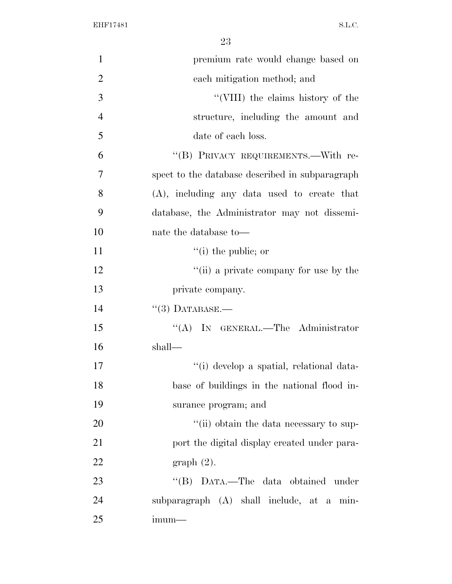| $\mathbf{1}$   | premium rate would change based on              |
|----------------|-------------------------------------------------|
| $\overline{2}$ | each mitigation method; and                     |
| 3              | "(VIII) the claims history of the               |
| $\overline{4}$ | structure, including the amount and             |
| 5              | date of each loss.                              |
| 6              | "(B) PRIVACY REQUIREMENTS.-With re-             |
| $\overline{7}$ | spect to the database described in subparagraph |
| 8              | $(A)$ , including any data used to create that  |
| 9              | database, the Administrator may not dissemi-    |
| 10             | nate the database to—                           |
| 11             | $``(i)$ the public; or                          |
| 12             | "(ii) a private company for use by the          |
| 13             | private company.                                |
| 14             | $(3)$ DATABASE.—                                |
| 15             | "(A) IN GENERAL.—The Administrator              |
| 16             | shall—                                          |
| 17             | "(i) develop a spatial, relational data-        |
| 18             | base of buildings in the national flood in-     |
| 19             | surance program; and                            |
| 20             | "(ii) obtain the data necessary to sup-         |
| 21             | port the digital display created under para-    |
| 22             | graph(2).                                       |
| 23             | "(B) DATA.—The data obtained under              |
| 24             | subparagraph (A) shall include, at a min-       |
| 25             | $imum-$                                         |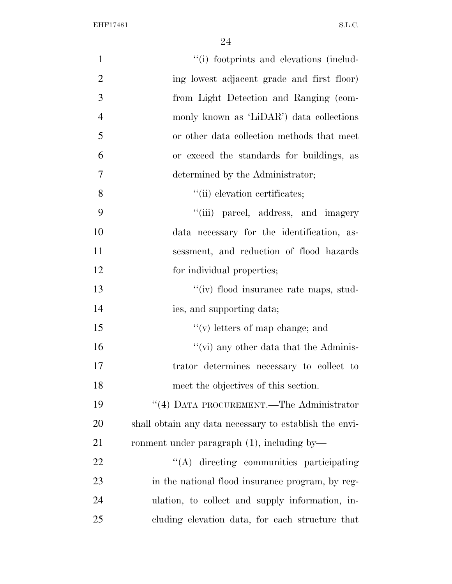| $\mathbf{1}$   | "(i) footprints and elevations (includ-                |
|----------------|--------------------------------------------------------|
| $\overline{2}$ | ing lowest adjacent grade and first floor)             |
| 3              | from Light Detection and Ranging (com-                 |
| $\overline{4}$ | monly known as 'LiDAR') data collections               |
| 5              | or other data collection methods that meet             |
| 6              | or exceed the standards for buildings, as              |
| 7              | determined by the Administrator;                       |
| 8              | "(ii) elevation certificates;                          |
| 9              | "(iii) parcel, address, and imagery                    |
| 10             | data necessary for the identification, as-             |
| 11             | sessment, and reduction of flood hazards               |
| 12             | for individual properties;                             |
| 13             | "(iv) flood insurance rate maps, stud-                 |
| 14             | ies, and supporting data;                              |
| 15             | $``(v)$ letters of map change; and                     |
| 16             | "(vi) any other data that the Adminis-                 |
| 17             | trator determines necessary to collect to              |
| 18             | meet the objectives of this section.                   |
| 19             | $\lq\lq (4)$ DATA PROCUREMENT.—The Administrator       |
| 20             | shall obtain any data necessary to establish the envi- |
| 21             | ronment under paragraph $(1)$ , including by—          |
| 22             | "(A) directing communities participating               |
| 23             | in the national flood insurance program, by reg-       |
| 24             | ulation, to collect and supply information, in-        |
| 25             | cluding elevation data, for each structure that        |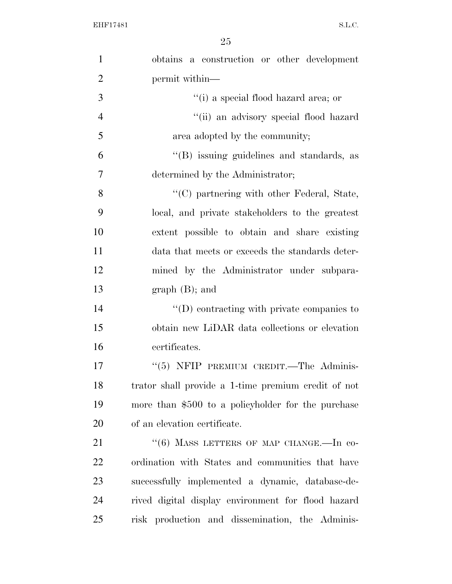| $\mathbf{1}$   | obtains a construction or other development         |
|----------------|-----------------------------------------------------|
| $\overline{2}$ | permit within—                                      |
| 3              | "(i) a special flood hazard area; or                |
| $\overline{4}$ | "(ii) an advisory special flood hazard              |
| 5              | area adopted by the community;                      |
| 6              | "(B) issuing guidelines and standards, as           |
| $\overline{7}$ | determined by the Administrator;                    |
| 8              | "(C) partnering with other Federal, State,          |
| 9              | local, and private stakeholders to the greatest     |
| 10             | extent possible to obtain and share existing        |
| 11             | data that meets or exceeds the standards deter-     |
| 12             | mined by the Administrator under subpara-           |
| 13             | $graph(B);$ and                                     |
| 14             | $\lq\lq$ contracting with private companies to      |
| 15             | obtain new LiDAR data collections or elevation      |
| 16             | certificates.                                       |
| 17             | "(5) NFIP PREMIUM CREDIT.—The Adminis-              |
| 18             | trator shall provide a 1-time premium credit of not |
| 19             | more than \$500 to a policyholder for the purchase  |
| 20             | of an elevation certificate.                        |
| 21             | "(6) MASS LETTERS OF MAP CHANGE.-In co-             |
| 22             | ordination with States and communities that have    |
| 23             | successfully implemented a dynamic, database-de-    |
| 24             | rived digital display environment for flood hazard  |
| 25             | risk production and dissemination, the Adminis-     |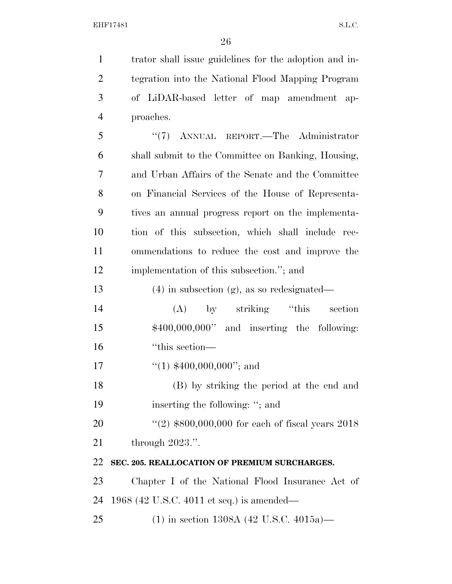trator shall issue guidelines for the adoption and in-

 tegration into the National Flood Mapping Program of LiDAR-based letter of map amendment ap- proaches. ''(7) ANNUAL REPORT.—The Administrator shall submit to the Committee on Banking, Housing, and Urban Affairs of the Senate and the Committee on Financial Services of the House of Representa- tives an annual progress report on the implementa- tion of this subsection, which shall include rec- ommendations to reduce the cost and improve the implementation of this subsection.''; and (4) in subsection (g), as so redesignated— (A) by striking ''this section \$400,000,000'' and inserting the following: ''this section—  $\frac{1}{(1)}$  \$400,000,000"; and (B) by striking the period at the end and 19 inserting the following: "; and 20 ''(2) \$800,000,000 for each of fiscal years 2018 through 2023.''. **SEC. 205. REALLOCATION OF PREMIUM SURCHARGES.**  Chapter I of the National Flood Insurance Act of 1968 (42 U.S.C. 4011 et seq.) is amended— (1) in section 1308A (42 U.S.C. 4015a)—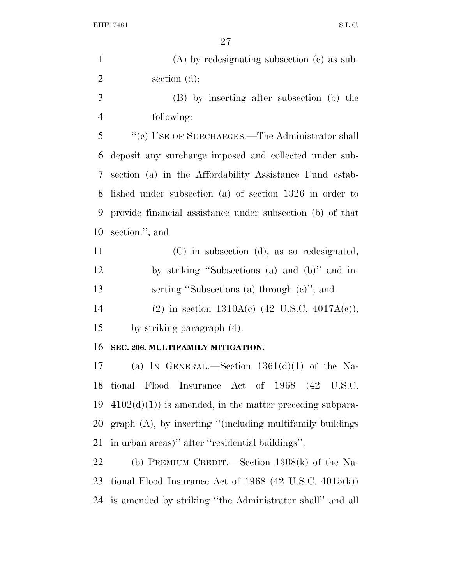| $\mathbf{1}$   | $(A)$ by redesignating subsection $(c)$ as sub-              |
|----------------|--------------------------------------------------------------|
| $\overline{2}$ | section $(d)$ ;                                              |
| 3              | (B) by inserting after subsection (b) the                    |
| $\overline{4}$ | following:                                                   |
| 5              | "(c) USE OF SURCHARGES.—The Administrator shall              |
| 6              | deposit any surcharge imposed and collected under sub-       |
| 7              | section (a) in the Affordability Assistance Fund estab-      |
| 8              | lished under subsection (a) of section 1326 in order to      |
| 9              | provide financial assistance under subsection (b) of that    |
| 10             | section."; and                                               |
| 11             | (C) in subsection (d), as so redesignated,                   |
| 12             | by striking "Subsections (a) and (b)" and in-                |
| 13             | serting "Subsections (a) through $(e)$ "; and                |
| 14             | (2) in section $1310A(c)$ (42 U.S.C. 4017A(c)),              |
| 15             | by striking paragraph (4).                                   |
| 16             | SEC. 206. MULTIFAMILY MITIGATION.                            |
| 17             | (a) IN GENERAL.—Section $1361(d)(1)$ of the Na-              |
| 18             | tional Flood Insurance Act of 1968 (42 U.S.C.                |
| 19             | $4102(d)(1)$ is amended, in the matter preceding subpara-    |
| <b>20</b>      | $graph(A)$ , by inserting "(including multifamily buildings) |
| 21             | in urban areas)" after "residential buildings".              |
| 22             | (b) PREMIUM CREDIT.—Section $1308(k)$ of the Na-             |
| 23             | tional Flood Insurance Act of 1968 (42 U.S.C. $4015(k)$ )    |
| 24             | is amended by striking "the Administrator shall" and all     |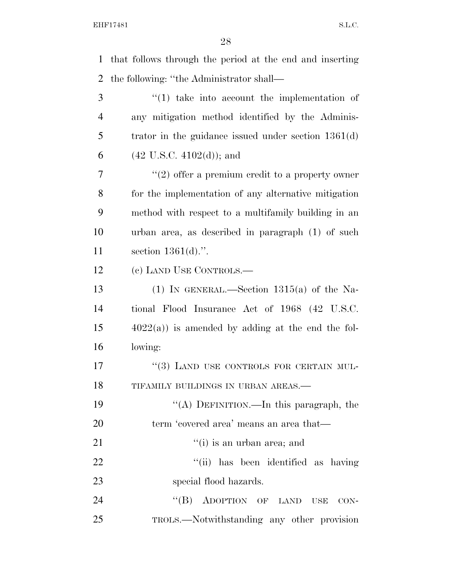that follows through the period at the end and inserting

the following: ''the Administrator shall—

 ''(1) take into account the implementation of any mitigation method identified by the Adminis- trator in the guidance issued under section 1361(d)  $(42 \text{ U.S.C. } 4102\text{ (d)});$  and  $7 \t$  ''(2) offer a premium credit to a property owner for the implementation of any alternative mitigation method with respect to a multifamily building in an urban area, as described in paragraph (1) of such section 1361(d).''. (c) LAND USE CONTROLS.— 13 (1) IN GENERAL.—Section  $1315(a)$  of the Na- tional Flood Insurance Act of 1968 (42 U.S.C.  $15 \qquad \qquad 4022(a)$  is amended by adding at the end the fol- lowing: 17 <sup>"</sup>(3) LAND USE CONTROLS FOR CERTAIN MUL-18 TIFAMILY BUILDINGS IN URBAN AREAS.— ''(A) DEFINITION.—In this paragraph, the term 'covered area' means an area that—  $"(i)$  is an urban area; and 22 ''(ii) has been identified as having special flood hazards. 24 "(B) ADOPTION OF LAND USE CON-TROLS.—Notwithstanding any other provision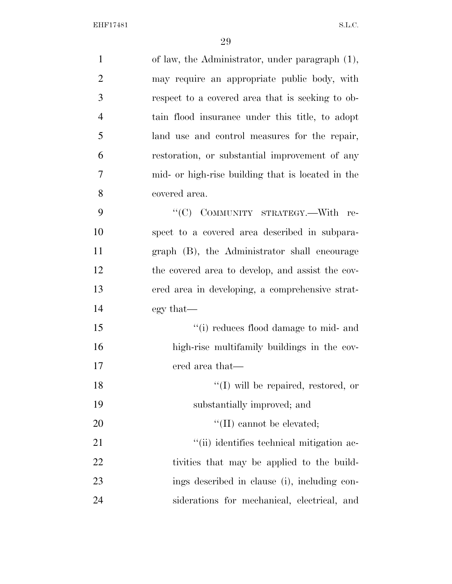| $\mathbf{1}$   | of law, the Administrator, under paragraph (1),   |
|----------------|---------------------------------------------------|
| $\overline{2}$ | may require an appropriate public body, with      |
| 3              | respect to a covered area that is seeking to ob-  |
| $\overline{4}$ | tain flood insurance under this title, to adopt   |
| 5              | land use and control measures for the repair,     |
| 6              | restoration, or substantial improvement of any    |
| $\overline{7}$ | mid- or high-rise building that is located in the |
| 8              | covered area.                                     |
| 9              | "(C) COMMUNITY STRATEGY.-With re-                 |
| 10             | spect to a covered area described in subpara-     |
| 11             | graph (B), the Administrator shall encourage      |
| 12             | the covered area to develop, and assist the cov-  |
| 13             | ered area in developing, a comprehensive strat-   |
| 14             | egy that—                                         |
| 15             | "(i) reduces flood damage to mid- and             |
| 16             | high-rise multifamily buildings in the cov-       |
| 17             | ered area that—                                   |
| 18             | $\lq\lq$ (I) will be repaired, restored, or       |
| 19             | substantially improved; and                       |
| 20             | $\lq\lq$ (II) cannot be elevated;                 |
| 21             | "(ii) identifies technical mitigation ac-         |
| 22             | tivities that may be applied to the build-        |
| 23             | ings described in clause (i), including con-      |
| 24             | siderations for mechanical, electrical, and       |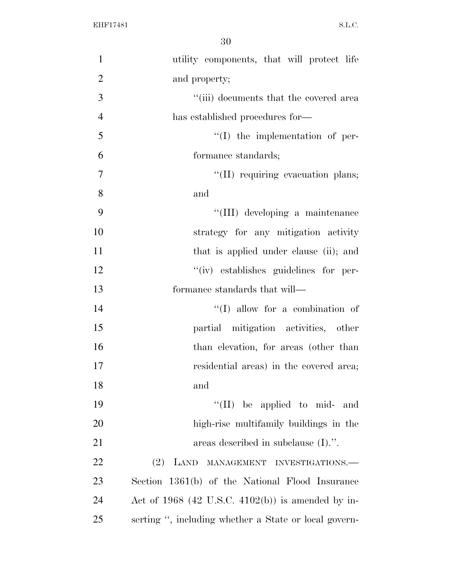| $\mathbf{1}$   | utility components, that will protect life            |
|----------------|-------------------------------------------------------|
| $\overline{2}$ | and property;                                         |
| 3              | "(iii) documents that the covered area                |
| $\overline{4}$ | has established procedures for—                       |
| 5              | $\lq\lq$ (I) the implementation of per-               |
| 6              | formance standards;                                   |
| $\tau$         | "(II) requiring evacuation plans;                     |
| 8              | and                                                   |
| 9              | "(III) developing a maintenance                       |
| 10             | strategy for any mitigation activity                  |
| 11             | that is applied under clause (ii); and                |
| 12             | "(iv) establishes guidelines for per-                 |
| 13             | formance standards that will—                         |
| 14             | $\lq\lq$ (I) allow for a combination of               |
| 15             | partial mitigation activities, other                  |
| 16             | than elevation, for areas (other than                 |
| 17             | residential areas) in the covered area;               |
| 18             | and                                                   |
| 19             | $\lq\lq$ (II) be applied to mid- and                  |
| 20             | high-rise multifamily buildings in the                |
| 21             | areas described in subclause $(I).$ ".                |
| 22             | $(2)$ LAND<br>MANAGEMENT INVESTIGATIONS.              |
| 23             | Section 1361(b) of the National Flood Insurance       |
| 24             | Act of $1968$ (42 U.S.C. 4102(b)) is amended by in-   |
| 25             | serting ", including whether a State or local govern- |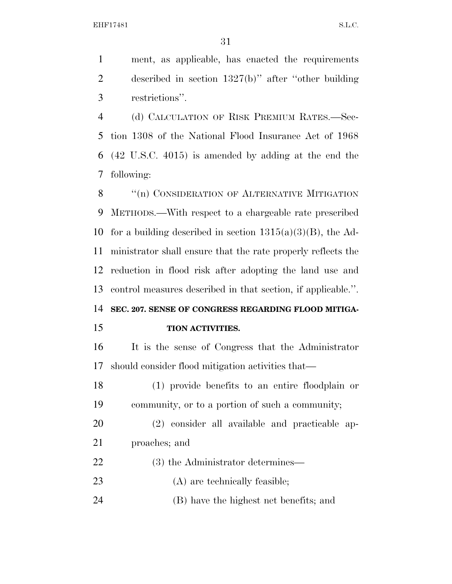ment, as applicable, has enacted the requirements described in section 1327(b)'' after ''other building restrictions''.

 (d) CALCULATION OF RISK PREMIUM RATES.—Sec- tion 1308 of the National Flood Insurance Act of 1968 (42 U.S.C. 4015) is amended by adding at the end the following:

8 "(n) CONSIDERATION OF ALTERNATIVE MITIGATION METHODS.—With respect to a chargeable rate prescribed 10 for a building described in section  $1315(a)(3)(B)$ , the Ad- ministrator shall ensure that the rate properly reflects the reduction in flood risk after adopting the land use and control measures described in that section, if applicable.''.

**SEC. 207. SENSE OF CONGRESS REGARDING FLOOD MITIGA-**

#### **TION ACTIVITIES.**

 It is the sense of Congress that the Administrator should consider flood mitigation activities that—

 (1) provide benefits to an entire floodplain or community, or to a portion of such a community;

 (2) consider all available and practicable ap-proaches; and

- 22 (3) the Administrator determines—
- 23 (A) are technically feasible;

(B) have the highest net benefits; and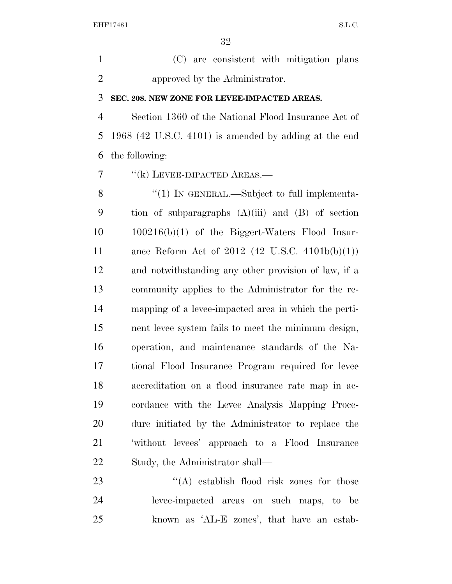(C) are consistent with mitigation plans approved by the Administrator.

#### **SEC. 208. NEW ZONE FOR LEVEE-IMPACTED AREAS.**

 Section 1360 of the National Flood Insurance Act of 1968 (42 U.S.C. 4101) is amended by adding at the end the following:

''(k) LEVEE-IMPACTED AREAS.—

8 "(1) In GENERAL.—Subject to full implementa- tion of subparagraphs (A)(iii) and (B) of section 100216(b)(1) of the Biggert-Waters Flood Insur- ance Reform Act of 2012 (42 U.S.C. 4101b(b)(1)) and notwithstanding any other provision of law, if a community applies to the Administrator for the re- mapping of a levee-impacted area in which the perti- nent levee system fails to meet the minimum design, operation, and maintenance standards of the Na- tional Flood Insurance Program required for levee accreditation on a flood insurance rate map in ac- cordance with the Levee Analysis Mapping Proce- dure initiated by the Administrator to replace the 'without levees' approach to a Flood Insurance Study, the Administrator shall—

23 ''(A) establish flood risk zones for those levee-impacted areas on such maps, to be known as 'AL-E zones', that have an estab-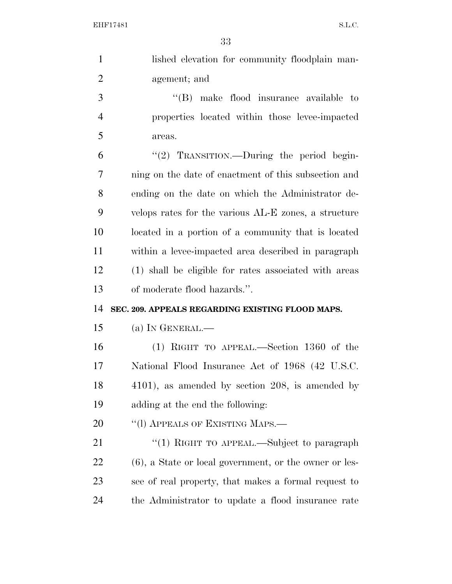| $\mathbf{1}$   | lished elevation for community floodplain man-            |
|----------------|-----------------------------------------------------------|
| $\overline{2}$ | agement; and                                              |
| 3              | "(B) make flood insurance available to                    |
| $\overline{4}$ | properties located within those levee-impacted            |
| 5              | areas.                                                    |
| 6              | "(2) TRANSITION.—During the period begin-                 |
| 7              | ning on the date of enactment of this subsection and      |
| 8              | ending on the date on which the Administrator de-         |
| 9              | velops rates for the various AL-E zones, a structure      |
| 10             | located in a portion of a community that is located       |
| 11             | within a levee-impacted area described in paragraph       |
| 12             | (1) shall be eligible for rates associated with areas     |
|                |                                                           |
| 13             | of moderate flood hazards.".                              |
| 14             | SEC. 209. APPEALS REGARDING EXISTING FLOOD MAPS.          |
| 15             | (a) IN GENERAL.—                                          |
| 16             | $(1)$ RIGHT TO APPEAL.—Section 1360 of the                |
| 17             | National Flood Insurance Act of 1968 (42 U.S.C.           |
| 18             | 4101), as amended by section 208, is amended by           |
| 19             | adding at the end the following:                          |
| 20             | "(I) APPEALS OF EXISTING MAPS.—                           |
| 21             | "(1) RIGHT TO APPEAL.—Subject to paragraph                |
| <u>22</u>      | $(6)$ , a State or local government, or the owner or les- |
| 23             | see of real property, that makes a formal request to      |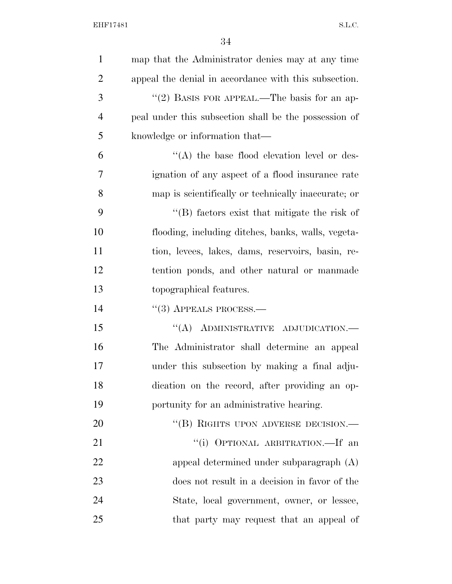| $\mathbf{1}$   | map that the Administrator denies may at any time     |
|----------------|-------------------------------------------------------|
| $\overline{2}$ | appeal the denial in accordance with this subsection. |
| 3              | "(2) BASIS FOR APPEAL.—The basis for an ap-           |
| $\overline{4}$ | peal under this subsection shall be the possession of |
| 5              | knowledge or information that—                        |
| 6              | $\lq\lq$ the base flood elevation level or des-       |
| 7              | ignation of any aspect of a flood insurance rate      |
| 8              | map is scientifically or technically inaccurate; or   |
| 9              | $\lq\lq$ factors exist that mitigate the risk of      |
| 10             | flooding, including ditches, banks, walls, vegeta-    |
| 11             | tion, levees, lakes, dams, reservoirs, basin, re-     |
| 12             | tention ponds, and other natural or manmade           |
| 13             | topographical features.                               |
| 14             | $``(3)$ APPEALS PROCESS.—                             |
| 15             | "(A) ADMINISTRATIVE ADJUDICATION.-                    |
| 16             | The Administrator shall determine an appeal           |
| 17             | under this subsection by making a final adju-         |
| 18             | dication on the record, after providing an op-        |
| 19             | portunity for an administrative hearing.              |
| 20             | "(B) RIGHTS UPON ADVERSE DECISION.-                   |
| 21             | "(i) OPTIONAL ARBITRATION.—If an                      |
| 22             | appeal determined under subparagraph (A)              |
| 23             | does not result in a decision in favor of the         |
| 24             | State, local government, owner, or lessee,            |
| 25             | that party may request that an appeal of              |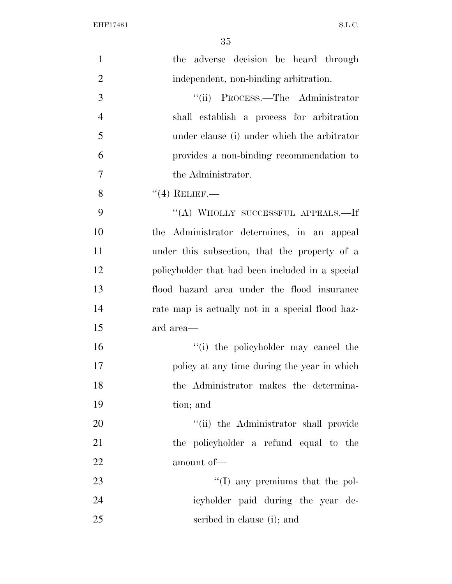| $\mathbf{1}$   | the adverse decision be heard through            |
|----------------|--------------------------------------------------|
| $\overline{2}$ | independent, non-binding arbitration.            |
| 3              | "(ii) PROCESS.—The Administrator                 |
| $\overline{4}$ | shall establish a process for arbitration        |
| 5              | under clause (i) under which the arbitrator      |
| 6              | provides a non-binding recommendation to         |
| $\overline{7}$ | the Administrator.                               |
| 8              | $``(4)$ RELIEF.—                                 |
| 9              | "(A) WHOLLY SUCCESSFUL APPEALS.—If               |
| 10             | the Administrator determines, in an appeal       |
| 11             | under this subsection, that the property of a    |
| 12             | policyholder that had been included in a special |
| 13             | flood hazard area under the flood insurance      |
| 14             | rate map is actually not in a special flood haz- |
| 15             | ard area—                                        |
| 16             | "(i) the policyholder may cancel the             |
| 17             | policy at any time during the year in which      |
| 18             | the Administrator makes the determina-           |
| 19             | tion; and                                        |
| $20\,$         | "(ii) the Administrator shall provide            |
| 21             | the policyholder a refund equal to the           |
| 22             | amount of-                                       |
| 23             | $\lq\lq$ (I) any premiums that the pol-          |
| 24             | icyholder paid during the year de-               |
| 25             | scribed in clause (i); and                       |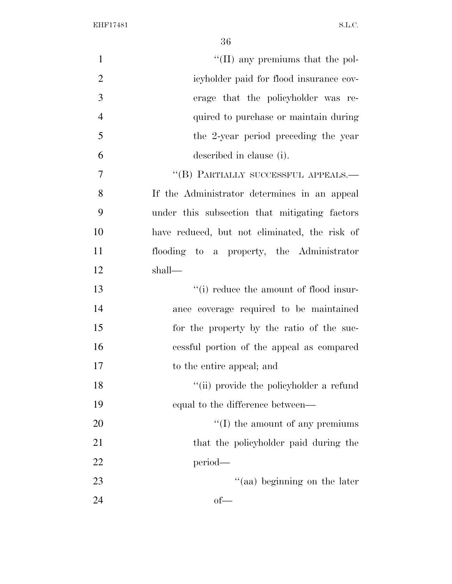| $\mathbf{1}$   | $\lq\lq$ (II) any premiums that the pol-      |
|----------------|-----------------------------------------------|
| $\overline{2}$ | icyholder paid for flood insurance cov-       |
| 3              | erage that the policyholder was re-           |
| $\overline{4}$ | quired to purchase or maintain during         |
| 5              | the 2-year period preceding the year          |
| 6              | described in clause (i).                      |
| 7              | "(B) PARTIALLY SUCCESSFUL APPEALS.-           |
| 8              | If the Administrator determines in an appeal  |
| 9              | under this subsection that mitigating factors |
| 10             | have reduced, but not eliminated, the risk of |
| 11             | flooding to a property, the Administrator     |
| 12             | shall-                                        |
| 13             | "(i) reduce the amount of flood insur-        |
| 14             | ance coverage required to be maintained       |
| 15             | for the property by the ratio of the suc-     |
| 16             | cessful portion of the appeal as compared     |
| 17             | to the entire appeal; and                     |
| 18             | "(ii) provide the policyholder a refund       |
| 19             | equal to the difference between—              |
| 20             | $\lq\lq$ (I) the amount of any premiums       |
| 21             | that the policyholder paid during the         |
| 22             | period—                                       |
| 23             | "(aa) beginning on the later                  |
| 24             | $of$ —                                        |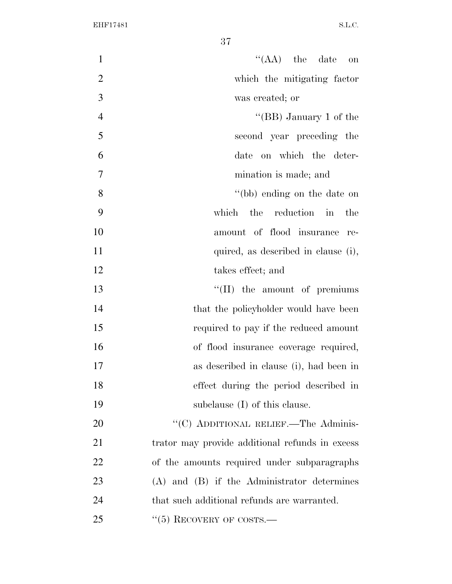$"({\rm AA})$  the date on which the mitigating factor was created; or ''(BB) January 1 of the second year preceding the date on which the deter- mination is made; and ''(bb) ending on the date on which the reduction in the amount of flood insurance re-11 quired, as described in clause (i), 12 takes effect; and  $\text{``(II)}$  the amount of premiums 14 that the policyholder would have been required to pay if the reduced amount of flood insurance coverage required, as described in clause (i), had been in effect during the period described in subclause (I) of this clause. 20 "'(C) ADDITIONAL RELIEF.—The Adminis-21 trator may provide additional refunds in excess of the amounts required under subparagraphs (A) and (B) if the Administrator determines that such additional refunds are warranted. 25 "(5) RECOVERY OF COSTS.—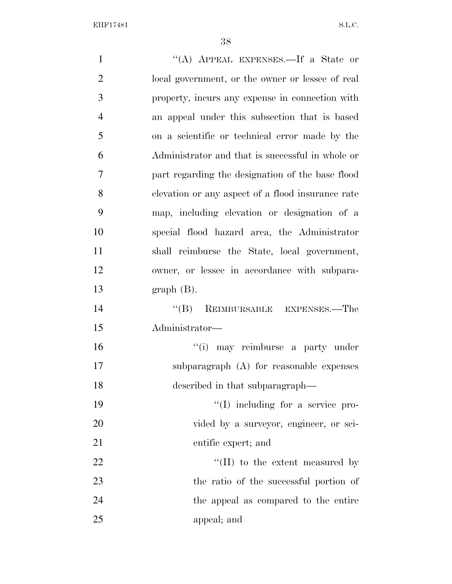| $\mathbf{1}$   | "(A) APPEAL EXPENSES.—If a State or               |
|----------------|---------------------------------------------------|
| $\overline{2}$ | local government, or the owner or lessee of real  |
| 3              | property, incurs any expense in connection with   |
| $\overline{4}$ | an appeal under this subsection that is based     |
| 5              | on a scientific or technical error made by the    |
| 6              | Administrator and that is successful in whole or  |
| 7              | part regarding the designation of the base flood  |
| 8              | elevation or any aspect of a flood insurance rate |
| 9              | map, including elevation or designation of a      |
| 10             | special flood hazard area, the Administrator      |
| 11             | shall reimburse the State, local government,      |
| 12             | owner, or lessee in accordance with subpara-      |
| 13             | $graph(B)$ .                                      |
| 14             | "(B) REIMBURSABLE EXPENSES.—The                   |
| 15             | Administrator-                                    |
| 16             | "(i) may reimburse a party under                  |
| 17             | subparagraph (A) for reasonable expenses          |
| 18             | described in that subparagraph—                   |
| 19             | "(I) including for a service pro-                 |
| 20             | vided by a surveyor, engineer, or sci-            |
| 21             | entific expert; and                               |
| 22             | "(II) to the extent measured by                   |
| 23             | the ratio of the successful portion of            |
| 24             | the appeal as compared to the entire              |
| 25             | appeal; and                                       |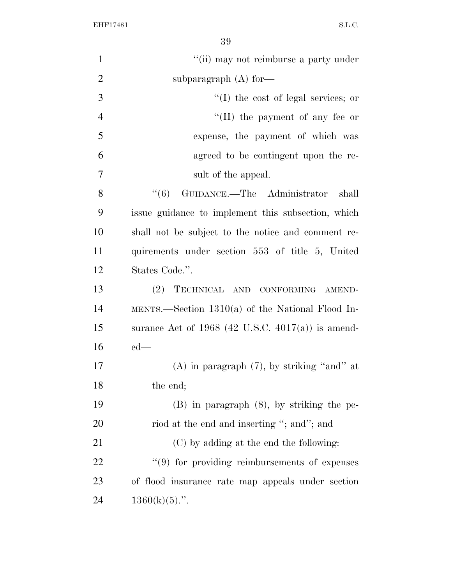| $\mathbf{1}$   | "(ii) may not reimburse a party under               |
|----------------|-----------------------------------------------------|
| $\overline{2}$ | subparagraph $(A)$ for-                             |
| 3              | $\lq\lq$ the cost of legal services; or             |
| $\overline{4}$ | "(II) the payment of any fee or                     |
| 5              | expense, the payment of which was                   |
| 6              | agreed to be contingent upon the re-                |
| $\overline{7}$ | sult of the appeal.                                 |
| 8              | (6)<br>GUIDANCE.—The Administrator<br>shall         |
| 9              | issue guidance to implement this subsection, which  |
| 10             | shall not be subject to the notice and comment re-  |
| 11             | quirements under section 553 of title 5, United     |
| 12             | States Code.".                                      |
| 13             | TECHNICAL AND CONFORMING AMEND-<br>(2)              |
| 14             | MENTS.—Section $1310(a)$ of the National Flood In-  |
| 15             | surance Act of $1968$ (42 U.S.C. 4017(a)) is amend- |
| 16             | $ed$ —                                              |
| 17             | $(A)$ in paragraph $(7)$ , by striking "and" at     |
| 18             | the end;                                            |
| 19             | $(B)$ in paragraph $(8)$ , by striking the pe-      |
| 20             | riod at the end and inserting "; and"; and          |
| 21             | (C) by adding at the end the following:             |
| 22             | "(9) for providing reimbursements of expenses       |
| 23             | of flood insurance rate map appeals under section   |
| 24             | $1360(k)(5)$ .".                                    |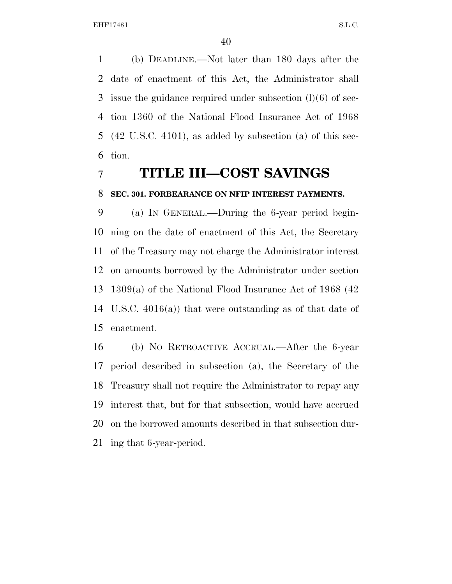(b) DEADLINE.—Not later than 180 days after the date of enactment of this Act, the Administrator shall issue the guidance required under subsection (l)(6) of sec- tion 1360 of the National Flood Insurance Act of 1968 (42 U.S.C. 4101), as added by subsection (a) of this sec-tion.

## **TITLE III—COST SAVINGS**

#### **SEC. 301. FORBEARANCE ON NFIP INTEREST PAYMENTS.**

 (a) IN GENERAL.—During the 6-year period begin- ning on the date of enactment of this Act, the Secretary of the Treasury may not charge the Administrator interest on amounts borrowed by the Administrator under section 1309(a) of the National Flood Insurance Act of 1968 (42 U.S.C. 4016(a)) that were outstanding as of that date of enactment.

 (b) NO RETROACTIVE ACCRUAL.—After the 6-year period described in subsection (a), the Secretary of the Treasury shall not require the Administrator to repay any interest that, but for that subsection, would have accrued on the borrowed amounts described in that subsection dur-ing that 6-year-period.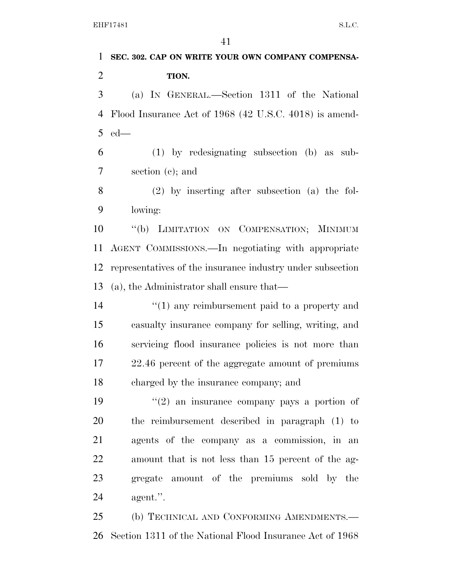**SEC. 302. CAP ON WRITE YOUR OWN COMPANY COMPENSA- TION.**  (a) IN GENERAL.—Section 1311 of the National Flood Insurance Act of 1968 (42 U.S.C. 4018) is amend- ed— (1) by redesignating subsection (b) as sub- section (c); and (2) by inserting after subsection (a) the fol- lowing: ''(b) LIMITATION ON COMPENSATION; MINIMUM AGENT COMMISSIONS.—In negotiating with appropriate representatives of the insurance industry under subsection (a), the Administrator shall ensure that—  $\frac{1}{2}$  (1) any reimbursement paid to a property and casualty insurance company for selling, writing, and servicing flood insurance policies is not more than 22.46 percent of the aggregate amount of premiums charged by the insurance company; and  $(2)$  an insurance company pays a portion of the reimbursement described in paragraph (1) to agents of the company as a commission, in an amount that is not less than 15 percent of the ag- gregate amount of the premiums sold by the agent.''. (b) TECHNICAL AND CONFORMING AMENDMENTS.—

Section 1311 of the National Flood Insurance Act of 1968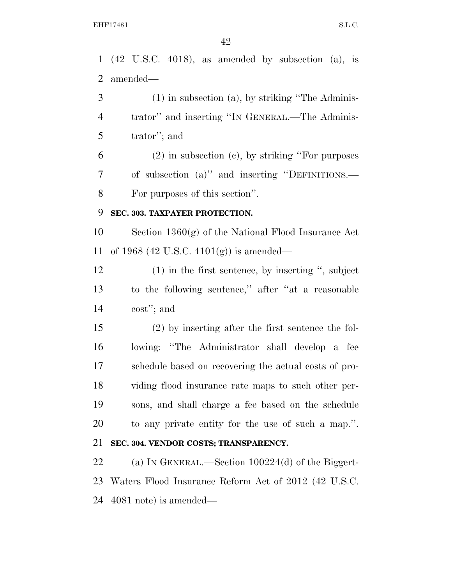(42 U.S.C. 4018), as amended by subsection (a), is amended— (1) in subsection (a), by striking ''The Adminis- trator'' and inserting ''IN GENERAL.—The Adminis- trator''; and (2) in subsection (c), by striking ''For purposes of subsection (a)'' and inserting ''DEFINITIONS.— For purposes of this section''. **SEC. 303. TAXPAYER PROTECTION.**  Section 1360(g) of the National Flood Insurance Act of 1968 (42 U.S.C. 4101(g)) is amended— (1) in the first sentence, by inserting '', subject to the following sentence,'' after ''at a reasonable cost''; and (2) by inserting after the first sentence the fol- lowing: ''The Administrator shall develop a fee schedule based on recovering the actual costs of pro- viding flood insurance rate maps to such other per- sons, and shall charge a fee based on the schedule to any private entity for the use of such a map.''. **SEC. 304. VENDOR COSTS; TRANSPARENCY.**  (a) IN GENERAL.—Section 100224(d) of the Biggert-Waters Flood Insurance Reform Act of 2012 (42 U.S.C.

4081 note) is amended—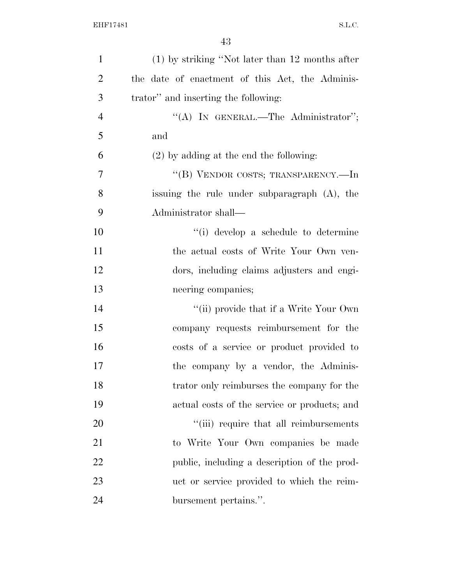| $\mathbf{1}$   | $(1)$ by striking "Not later than 12 months after |
|----------------|---------------------------------------------------|
| $\overline{2}$ | the date of enactment of this Act, the Adminis-   |
| 3              | trator" and inserting the following:              |
| $\overline{4}$ | "(A) IN GENERAL.—The Administrator";              |
| 5              | and                                               |
| 6              | $(2)$ by adding at the end the following:         |
| 7              | "(B) VENDOR COSTS; TRANSPARENCY.—In               |
| 8              | issuing the rule under subparagraph (A), the      |
| 9              | Administrator shall—                              |
| 10             | "(i) develop a schedule to determine              |
| 11             | the actual costs of Write Your Own ven-           |
| 12             | dors, including claims adjusters and engi-        |
| 13             | neering companies;                                |
| 14             | "(ii) provide that if a Write Your Own            |
| 15             | company requests reimbursement for the            |
| 16             | costs of a service or product provided to         |
| 17             | the company by a vendor, the Adminis-             |
| 18             | trator only reimburses the company for the        |
| 19             | actual costs of the service or products; and      |
| 20             | "(iii) require that all reimbursements            |
| 21             | to Write Your Own companies be made               |
| 22             | public, including a description of the prod-      |
| 23             | uct or service provided to which the reim-        |
| 24             | bursement pertains.".                             |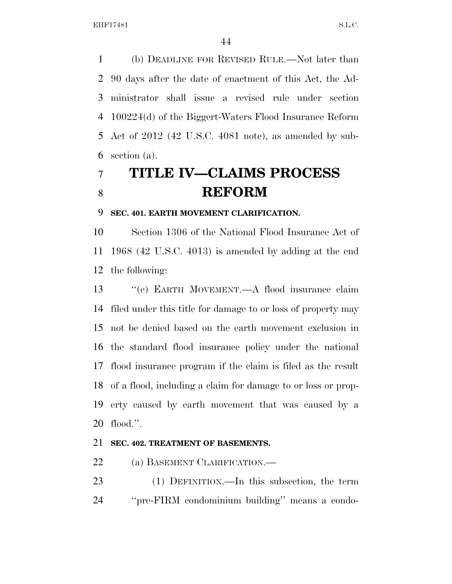(b) DEADLINE FOR REVISED RULE.—Not later than 90 days after the date of enactment of this Act, the Ad- ministrator shall issue a revised rule under section 100224(d) of the Biggert-Waters Flood Insurance Reform Act of 2012 (42 U.S.C. 4081 note), as amended by sub-section (a).

# **TITLE IV—CLAIMS PROCESS REFORM**

#### **SEC. 401. EARTH MOVEMENT CLARIFICATION.**

 Section 1306 of the National Flood Insurance Act of 1968 (42 U.S.C. 4013) is amended by adding at the end the following:

 ''(e) EARTH MOVEMENT.—A flood insurance claim filed under this title for damage to or loss of property may not be denied based on the earth movement exclusion in the standard flood insurance policy under the national flood insurance program if the claim is filed as the result of a flood, including a claim for damage to or loss or prop- erty caused by earth movement that was caused by a flood.''.

#### **SEC. 402. TREATMENT OF BASEMENTS.**

22 (a) BASEMENT CLARIFICATION.—

 (1) DEFINITION.—In this subsection, the term ''pre-FIRM condominium building'' means a condo-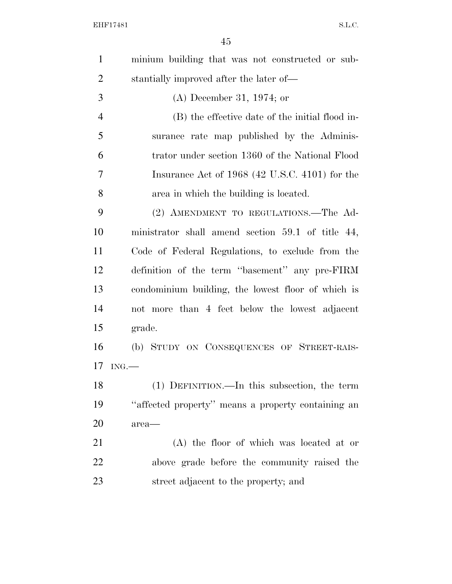| $\mathbf{1}$   | minium building that was not constructed or sub-   |
|----------------|----------------------------------------------------|
| $\overline{2}$ | stantially improved after the later of—            |
| 3              | $(A)$ December 31, 1974; or                        |
| $\overline{4}$ | (B) the effective date of the initial flood in-    |
| 5              | surance rate map published by the Adminis-         |
| 6              | trator under section 1360 of the National Flood    |
| 7              | Insurance Act of 1968 (42 U.S.C. 4101) for the     |
| 8              | area in which the building is located.             |
| 9              | (2) AMENDMENT TO REGULATIONS.—The Ad-              |
| 10             | ministrator shall amend section 59.1 of title 44,  |
| 11             | Code of Federal Regulations, to exclude from the   |
| 12             | definition of the term "basement" any pre-FIRM     |
| 13             | condominium building, the lowest floor of which is |
| 14             | not more than 4 feet below the lowest adjacent     |
| 15             | grade.                                             |
| 16             | (b) STUDY ON CONSEQUENCES OF STREET-RAIS-          |
| 17             | ING.                                               |
| 18             | (1) DEFINITION.—In this subsection, the term       |
| 19             | "affected property" means a property containing an |
| 20             | area—                                              |
| 21             | (A) the floor of which was located at or           |
| 22             | above grade before the community raised the        |
| 23             | street adjacent to the property; and               |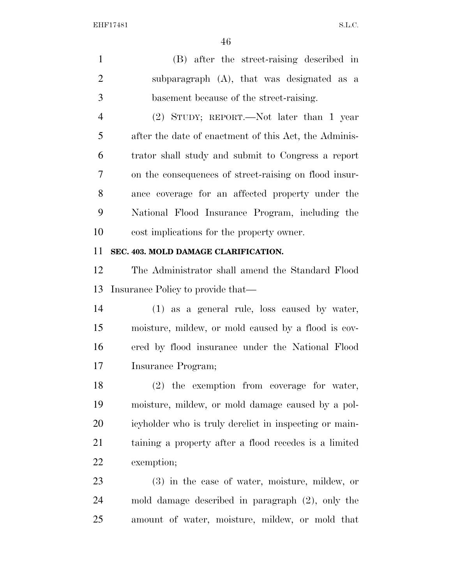(B) after the street-raising described in subparagraph (A), that was designated as a basement because of the street-raising. (2) STUDY; REPORT.—Not later than 1 year after the date of enactment of this Act, the Adminis- trator shall study and submit to Congress a report on the consequences of street-raising on flood insur- ance coverage for an affected property under the National Flood Insurance Program, including the cost implications for the property owner. **SEC. 403. MOLD DAMAGE CLARIFICATION.**  The Administrator shall amend the Standard Flood

Insurance Policy to provide that—

 (1) as a general rule, loss caused by water, moisture, mildew, or mold caused by a flood is cov- ered by flood insurance under the National Flood Insurance Program;

 (2) the exemption from coverage for water, moisture, mildew, or mold damage caused by a pol- icyholder who is truly derelict in inspecting or main- taining a property after a flood recedes is a limited exemption;

 (3) in the case of water, moisture, mildew, or mold damage described in paragraph (2), only the amount of water, moisture, mildew, or mold that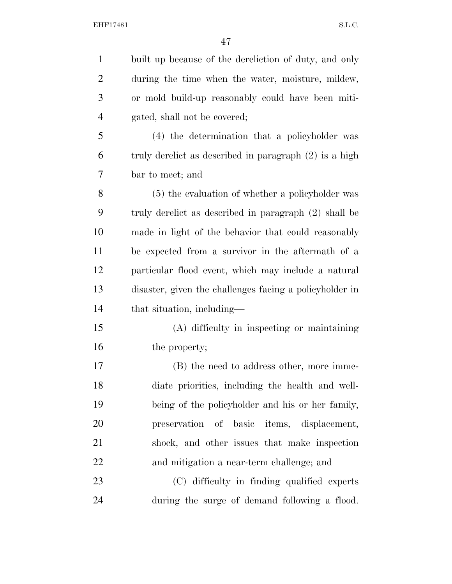| $\mathbf{1}$   | built up because of the dereliction of duty, and only    |
|----------------|----------------------------------------------------------|
| $\overline{2}$ | during the time when the water, moisture, mildew,        |
| 3              | or mold build-up reasonably could have been miti-        |
| $\overline{4}$ | gated, shall not be covered;                             |
| 5              | (4) the determination that a policyholder was            |
| 6              | truly derelict as described in paragraph $(2)$ is a high |
| 7              | bar to meet; and                                         |
| 8              | (5) the evaluation of whether a policyholder was         |
| 9              | truly derelict as described in paragraph (2) shall be    |
| 10             | made in light of the behavior that could reasonably      |
| 11             | be expected from a survivor in the aftermath of a        |
| 12             | particular flood event, which may include a natural      |
| 13             | disaster, given the challenges facing a policyholder in  |
| 14             | that situation, including—                               |
| 15             | (A) difficulty in inspecting or maintaining              |
| 16             | the property;                                            |
| 17             | (B) the need to address other, more imme-                |
| 18             | diate priorities, including the health and well-         |
| 19             | being of the policyholder and his or her family,         |
| 20             | preservation of basic items, displacement,               |
| 21             | shock, and other issues that make inspection             |
| 22             | and mitigation a near-term challenge; and                |
| 23             | (C) difficulty in finding qualified experts              |
| 24             | during the surge of demand following a flood.            |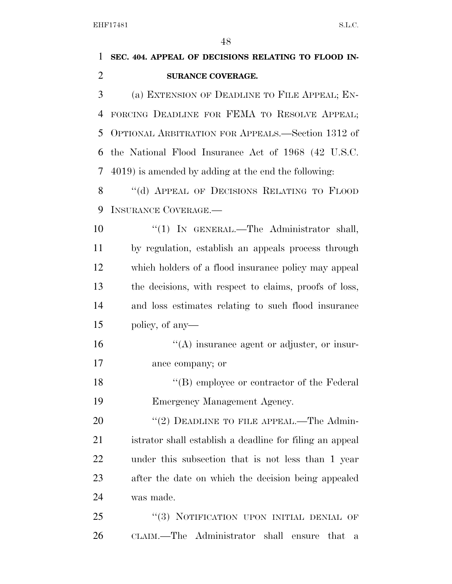| $\mathbf{1}$   | SEC. 404. APPEAL OF DECISIONS RELATING TO FLOOD IN-      |
|----------------|----------------------------------------------------------|
| $\overline{2}$ | SURANCE COVERAGE.                                        |
| 3              | (a) EXTENSION OF DEADLINE TO FILE APPEAL; EN-            |
| 4              | FORCING DEADLINE FOR FEMA TO RESOLVE APPEAL;             |
| 5              | OPTIONAL ARBITRATION FOR APPEALS.—Section 1312 of        |
| 6              | the National Flood Insurance Act of 1968 (42 U.S.C.      |
| 7              | 4019) is amended by adding at the end the following:     |
| 8              | "(d) APPEAL OF DECISIONS RELATING TO FLOOD               |
| 9              | <b>INSURANCE COVERAGE.—</b>                              |
| 10             | "(1) IN GENERAL.—The Administrator shall,                |
| 11             | by regulation, establish an appeals process through      |
| 12             | which holders of a flood insurance policy may appeal     |
| 13             | the decisions, with respect to claims, proofs of loss,   |
| 14             | and loss estimates relating to such flood insurance      |
| 15             | policy, of any—                                          |
| 16             | $\lq\lq$ insurance agent or adjuster, or insur-          |
| 17             | ance company; or                                         |
| 18             | "(B) employee or contractor of the Federal               |
| 19             | Emergency Management Agency.                             |
| 20             | "(2) DEADLINE TO FILE APPEAL.—The Admin-                 |
| 21             | istrator shall establish a deadline for filing an appeal |
| 22             | under this subsection that is not less than 1 year       |
| 23             | after the date on which the decision being appealed      |
| 24             | was made.                                                |
| 25             | "(3) NOTIFICATION UPON INITIAL DENIAL OF                 |
| 26             | CLAIM.—The Administrator shall<br>that<br>ensure<br>a    |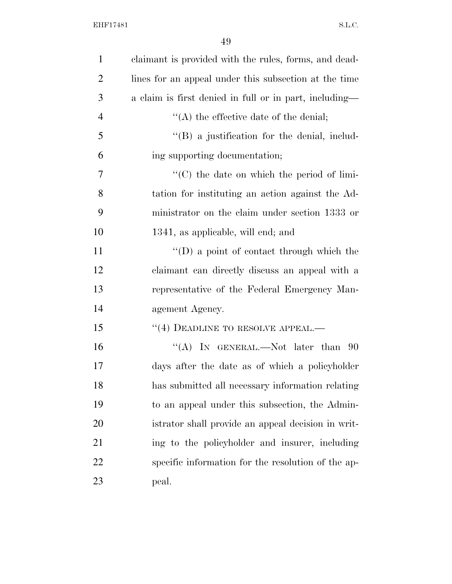| $\mathbf{1}$   | claimant is provided with the rules, forms, and dead-  |
|----------------|--------------------------------------------------------|
| $\overline{2}$ | lines for an appeal under this subsection at the time  |
| 3              | a claim is first denied in full or in part, including— |
| $\overline{4}$ | $\lq\lq$ the effective date of the denial;             |
| 5              | $\lq\lq (B)$ a justification for the denial, includ-   |
| 6              | ing supporting documentation;                          |
| 7              | "(C) the date on which the period of limi-             |
| 8              | tation for instituting an action against the Ad-       |
| 9              | ministrator on the claim under section 1333 or         |
| 10             | 1341, as applicable, will end; and                     |
| 11             | $\lq\lq$ a point of contact through which the          |
| 12             | claimant can directly discuss an appeal with a         |
| 13             | representative of the Federal Emergency Man-           |
| 14             | agement Agency.                                        |
| 15             | "(4) DEADLINE TO RESOLVE APPEAL.—                      |
| 16             | "(A) IN GENERAL.—Not later than $90$                   |
| 17             | days after the date as of which a policyholder         |
| 18             | has submitted all necessary information relating       |
| 19             | to an appeal under this subsection, the Admin-         |
| 20             | istrator shall provide an appeal decision in writ-     |
| 21             | ing to the policyholder and insurer, including         |
| 22             | specific information for the resolution of the ap-     |
| 23             | peal.                                                  |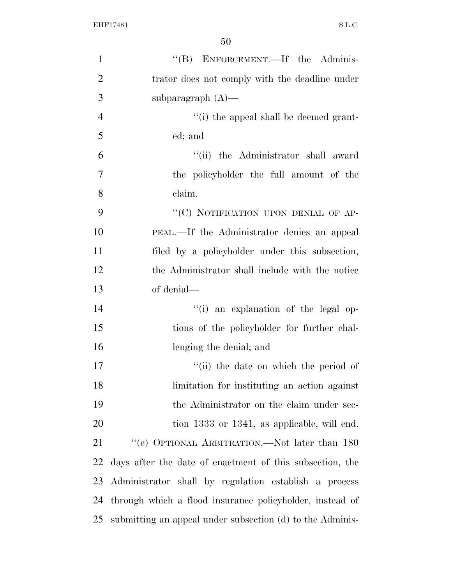| "(B) ENFORCEMENT.—If the Adminis-                         |
|-----------------------------------------------------------|
| trator does not comply with the deadline under            |
| subparagraph $(A)$ —                                      |
| "(i) the appeal shall be deemed grant-                    |
| ed; and                                                   |
| "(ii) the Administrator shall award                       |
| the policyholder the full amount of the                   |
| claim.                                                    |
| "(C) NOTIFICATION UPON DENIAL OF AP-                      |
| PEAL.—If the Administrator denies an appeal               |
| filed by a policyholder under this subsection,            |
| the Administrator shall include with the notice           |
| of denial—                                                |
| "(i) an explanation of the legal op-                      |
| tions of the policyholder for further chal-               |
| lenging the denial; and                                   |
| "(ii) the date on which the period of                     |
| limitation for instituting an action against              |
| the Administrator on the claim under sec-                 |
| tion 1333 or 1341, as applicable, will end.               |
| "(e) OPTIONAL ARBITRATION.—Not later than 180             |
| days after the date of enactment of this subsection, the  |
| Administrator shall by regulation establish a process     |
| through which a flood insurance policyholder, instead of  |
| submitting an appeal under subsection (d) to the Adminis- |
|                                                           |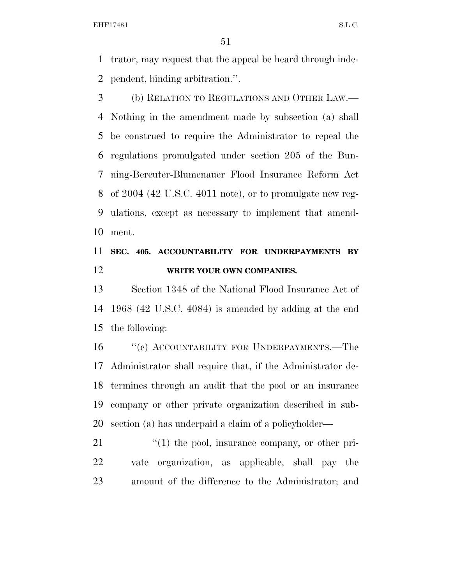trator, may request that the appeal be heard through inde-pendent, binding arbitration.''.

 (b) RELATION TO REGULATIONS AND OTHER LAW.— Nothing in the amendment made by subsection (a) shall be construed to require the Administrator to repeal the regulations promulgated under section 205 of the Bun- ning-Bereuter-Blumenauer Flood Insurance Reform Act of 2004 (42 U.S.C. 4011 note), or to promulgate new reg- ulations, except as necessary to implement that amend-ment.

### **SEC. 405. ACCOUNTABILITY FOR UNDERPAYMENTS BY WRITE YOUR OWN COMPANIES.**

 Section 1348 of the National Flood Insurance Act of 1968 (42 U.S.C. 4084) is amended by adding at the end the following:

16 "(c) ACCOUNTABILITY FOR UNDERPAYMENTS.—The Administrator shall require that, if the Administrator de- termines through an audit that the pool or an insurance company or other private organization described in sub-section (a) has underpaid a claim of a policyholder—

21  $\frac{1}{2}$  (1) the pool, insurance company, or other pri- vate organization, as applicable, shall pay the amount of the difference to the Administrator; and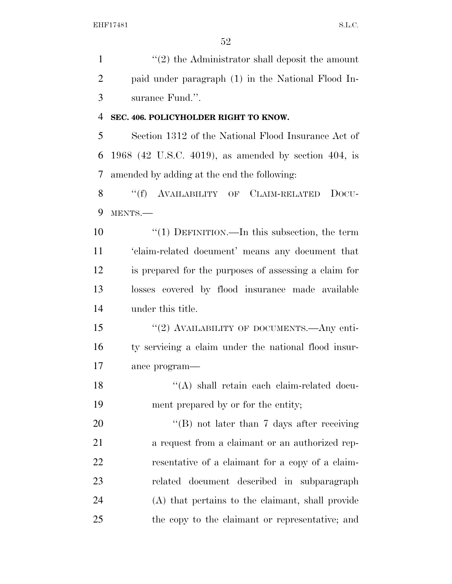1 ''(2) the Administrator shall deposit the amount paid under paragraph (1) in the National Flood In-surance Fund.''.

#### **SEC. 406. POLICYHOLDER RIGHT TO KNOW.**

 Section 1312 of the National Flood Insurance Act of 1968 (42 U.S.C. 4019), as amended by section 404, is amended by adding at the end the following:

8 "(f) AVAILABILITY OF CLAIM-RELATED DOCU-MENTS.—

 ''(1) DEFINITION.—In this subsection, the term 'claim-related document' means any document that is prepared for the purposes of assessing a claim for losses covered by flood insurance made available under this title.

15 "(2) AVAILABILITY OF DOCUMENTS.—Any enti- ty servicing a claim under the national flood insur-ance program—

18 ''(A) shall retain each claim-related docu-ment prepared by or for the entity;

20 "'(B) not later than 7 days after receiving 21 a request from a claimant or an authorized rep- resentative of a claimant for a copy of a claim- related document described in subparagraph (A) that pertains to the claimant, shall provide the copy to the claimant or representative; and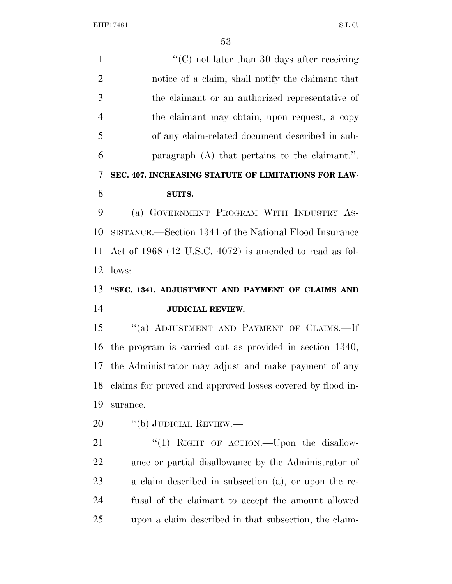$\cdot$  (C) not later than 30 days after receiving notice of a claim, shall notify the claimant that the claimant or an authorized representative of the claimant may obtain, upon request, a copy of any claim-related document described in sub- paragraph (A) that pertains to the claimant.''. **SEC. 407. INCREASING STATUTE OF LIMITATIONS FOR LAW- SUITS.**  (a) GOVERNMENT PROGRAM WITH INDUSTRY AS- SISTANCE.—Section 1341 of the National Flood Insurance Act of 1968 (42 U.S.C. 4072) is amended to read as fol- lows: **''SEC. 1341. ADJUSTMENT AND PAYMENT OF CLAIMS AND JUDICIAL REVIEW.**  15 "(a) ADJUSTMENT AND PAYMENT OF CLAIMS.—If the program is carried out as provided in section 1340, the Administrator may adjust and make payment of any claims for proved and approved losses covered by flood in- surance. 20 "(b) JUDICIAL REVIEW.— 21 "(1) RIGHT OF ACTION.—Upon the disallow- ance or partial disallowance by the Administrator of a claim described in subsection (a), or upon the re- fusal of the claimant to accept the amount allowed upon a claim described in that subsection, the claim-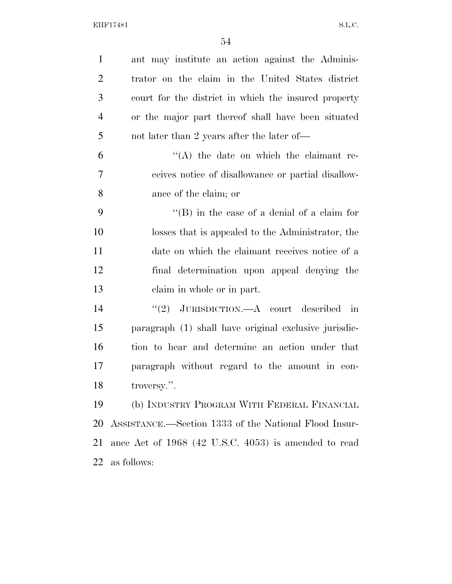| $\mathbf{1}$   | ant may institute an action against the Adminis-      |
|----------------|-------------------------------------------------------|
| $\overline{2}$ | trator on the claim in the United States district     |
| 3              | court for the district in which the insured property  |
| $\overline{4}$ | or the major part thereof shall have been situated    |
| 5              | not later than 2 years after the later of—            |
| 6              | $\lq\lq$ the date on which the claimant re-           |
| 7              | ceives notice of disallowance or partial disallow-    |
| 8              | ance of the claim; or                                 |
| 9              | $\lq\lq$ (B) in the case of a denial of a claim for   |
| 10             | losses that is appealed to the Administrator, the     |
| 11             | date on which the claimant receives notice of a       |
| 12             | final determination upon appeal denying the           |
| 13             | claim in whole or in part.                            |
| 14             | "(2) JURISDICTION.—A court described in               |
| 15             | paragraph (1) shall have original exclusive jurisdic- |
| 16             | tion to hear and determine an action under that       |
| 17             | paragraph without regard to the amount in con-        |
| 18             | $\,$ troversy.".                                      |
| 19             | (b) INDUSTRY PROGRAM WITH FEDERAL FINANCIAL           |
| 20             | ASSISTANCE.—Section 1333 of the National Flood Insur- |
| 21             | ance Act of 1968 (42 U.S.C. 4053) is amended to read  |
| 22             | as follows:                                           |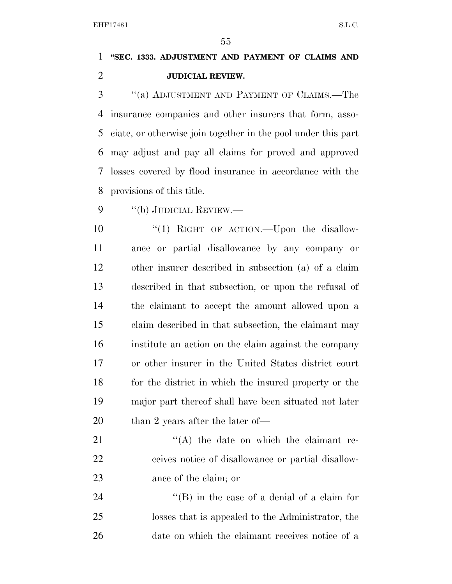### **''SEC. 1333. ADJUSTMENT AND PAYMENT OF CLAIMS AND JUDICIAL REVIEW.**

 ''(a) ADJUSTMENT AND PAYMENT OF CLAIMS.—The insurance companies and other insurers that form, asso- ciate, or otherwise join together in the pool under this part may adjust and pay all claims for proved and approved losses covered by flood insurance in accordance with the provisions of this title.

''(b) JUDICIAL REVIEW.—

10 "(1) RIGHT OF ACTION.—Upon the disallow- ance or partial disallowance by any company or other insurer described in subsection (a) of a claim described in that subsection, or upon the refusal of the claimant to accept the amount allowed upon a claim described in that subsection, the claimant may institute an action on the claim against the company or other insurer in the United States district court for the district in which the insured property or the major part thereof shall have been situated not later 20 than 2 years after the later of—

21 ''(A) the date on which the claimant re- ceives notice of disallowance or partial disallow-ance of the claim; or

24 ''(B) in the case of a denial of a claim for losses that is appealed to the Administrator, the date on which the claimant receives notice of a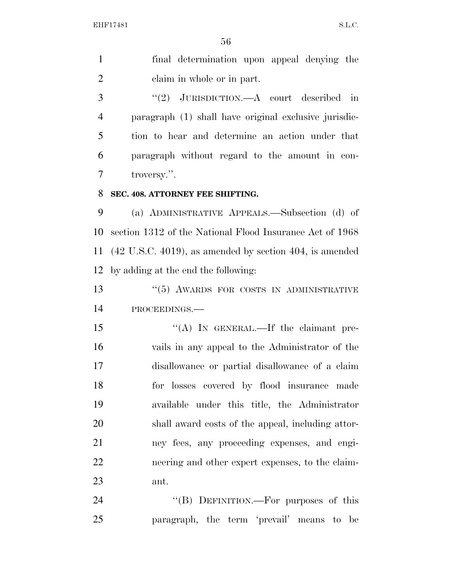| final determination upon appeal denying the |
|---------------------------------------------|
| claim in whole or in part.                  |

 ''(2) JURISDICTION.—A court described in paragraph (1) shall have original exclusive jurisdic- tion to hear and determine an action under that paragraph without regard to the amount in con-troversy.''.

#### **SEC. 408. ATTORNEY FEE SHIFTING.**

 (a) ADMINISTRATIVE APPEALS.—Subsection (d) of section 1312 of the National Flood Insurance Act of 1968 (42 U.S.C. 4019), as amended by section 404, is amended by adding at the end the following:

13 ''(5) AWARDS FOR COSTS IN ADMINISTRATIVE PROCEEDINGS.—

15 "(A) In GENERAL.—If the claimant pre- vails in any appeal to the Administrator of the disallowance or partial disallowance of a claim for losses covered by flood insurance made available under this title, the Administrator shall award costs of the appeal, including attor- ney fees, any proceeding expenses, and engi- neering and other expert expenses, to the claim-ant.

24 "(B) DEFINITION.—For purposes of this paragraph, the term 'prevail' means to be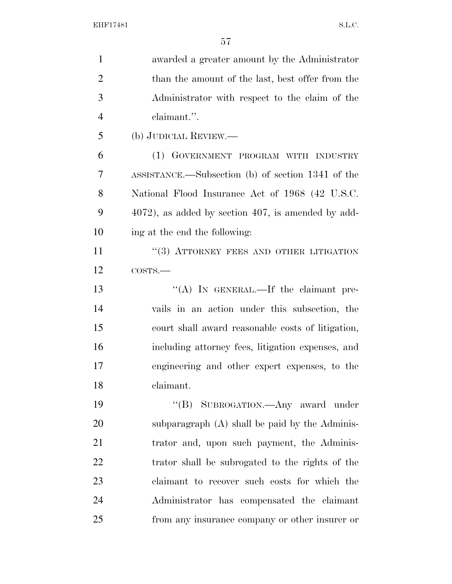| $\mathbf{1}$   | awarded a greater amount by the Administrator           |
|----------------|---------------------------------------------------------|
| $\overline{2}$ | than the amount of the last, best offer from the        |
| 3              | Administrator with respect to the claim of the          |
| $\overline{4}$ | claimant.".                                             |
| 5              | (b) JUDICIAL REVIEW.—                                   |
| 6              | (1) GOVERNMENT PROGRAM WITH INDUSTRY                    |
| 7              | ASSISTANCE.—Subsection (b) of section 1341 of the       |
| 8              | National Flood Insurance Act of 1968 (42 U.S.C.         |
| 9              | $4072$ , as added by section $407$ , is amended by add- |
| 10             | ing at the end the following:                           |
| 11             | "(3) ATTORNEY FEES AND OTHER LITIGATION                 |
| 12             | COSTS.                                                  |
| 13             | "(A) IN GENERAL.—If the claimant pre-                   |
| 14             | vails in an action under this subsection, the           |
| 15             | court shall award reasonable costs of litigation,       |
| 16             | including attorney fees, litigation expenses, and       |
| 17             | engineering and other expert expenses, to the           |
| 18             | claimant.                                               |
| 19             | "(B) SUBROGATION.—Any award under                       |
| 20             | subparagraph (A) shall be paid by the Adminis-          |
| 21             | trator and, upon such payment, the Adminis-             |
| 22             | trator shall be subrogated to the rights of the         |
| 23             | claimant to recover such costs for which the            |
| 24             | Administrator has compensated the claimant              |
| 25             | from any insurance company or other insurer or          |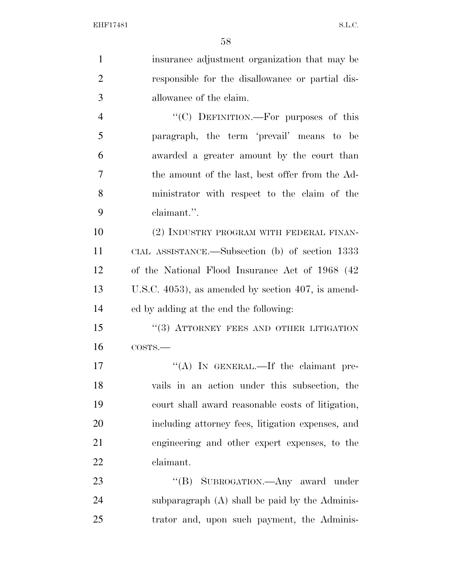| $\mathbf{1}$   | insurance adjustment organization that may be         |
|----------------|-------------------------------------------------------|
| $\overline{2}$ | responsible for the disallowance or partial dis-      |
| 3              | allowance of the claim.                               |
| $\overline{4}$ | "(C) DEFINITION.—For purposes of this                 |
| 5              | paragraph, the term 'prevail' means to be             |
| 6              | awarded a greater amount by the court than            |
| 7              | the amount of the last, best offer from the Ad-       |
| 8              | ministrator with respect to the claim of the          |
| 9              | claimant.".                                           |
| 10             | (2) INDUSTRY PROGRAM WITH FEDERAL FINAN-              |
| 11             | CIAL ASSISTANCE.—Subsection (b) of section 1333       |
| 12             | of the National Flood Insurance Act of 1968 (42)      |
| 13             | U.S.C. $4053$ ), as amended by section 407, is amend- |
| 14             | ed by adding at the end the following:                |
| 15             | "(3) ATTORNEY FEES AND OTHER LITIGATION               |
| 16             | $\cos$ TS. $-$                                        |
| 17             | "(A) IN GENERAL.—If the claimant pre-                 |
| 18             | vails in an action under this subsection, the         |
| 19             | court shall award reasonable costs of litigation,     |
| 20             | including attorney fees, litigation expenses, and     |
| 21             | engineering and other expert expenses, to the         |
| 22             | claimant.                                             |
| 23             | "(B) SUBROGATION.—Any award under                     |
| 24             | subparagraph (A) shall be paid by the Adminis-        |
| 25             | trator and, upon such payment, the Adminis-           |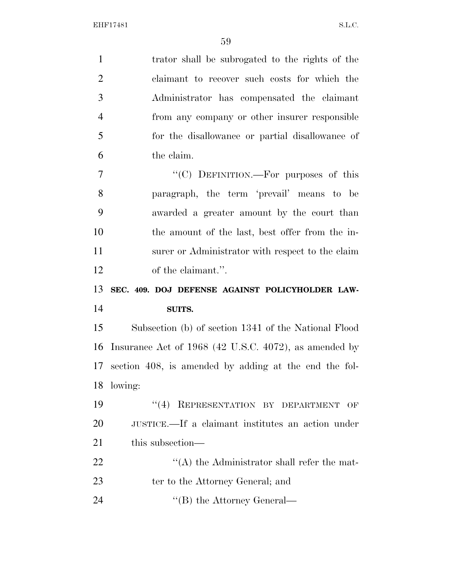| $\mathbf{1}$   | trator shall be subrogated to the rights of the       |
|----------------|-------------------------------------------------------|
| $\overline{2}$ | claimant to recover such costs for which the          |
| 3              | Administrator has compensated the claimant            |
| $\overline{4}$ | from any company or other insurer responsible         |
| 5              | for the disallowance or partial disallowance of       |
| 6              | the claim.                                            |
| $\overline{7}$ | "(C) DEFINITION.—For purposes of this                 |
| 8              | paragraph, the term 'prevail' means to be             |
| 9              | awarded a greater amount by the court than            |
| 10             | the amount of the last, best offer from the in-       |
| 11             | surer or Administrator with respect to the claim      |
| 12             | of the claimant.".                                    |
|                |                                                       |
| 13             | SEC. 409. DOJ DEFENSE AGAINST POLICYHOLDER LAW-       |
| 14             | SUITS.                                                |
| 15             | Subsection (b) of section 1341 of the National Flood  |
| 16             | Insurance Act of 1968 (42 U.S.C. 4072), as amended by |
| 17             | section 408, is amended by adding at the end the fol- |
| 18             | lowing:                                               |
| 19             | "(4) REPRESENTATION BY DEPARTMENT<br>OF               |
| 20             | JUSTICE.—If a claimant institutes an action under     |
| 21             | this subsection—                                      |
| 22             | $\lq\lq$ the Administrator shall refer the mat-       |
| 23             | ter to the Attorney General; and                      |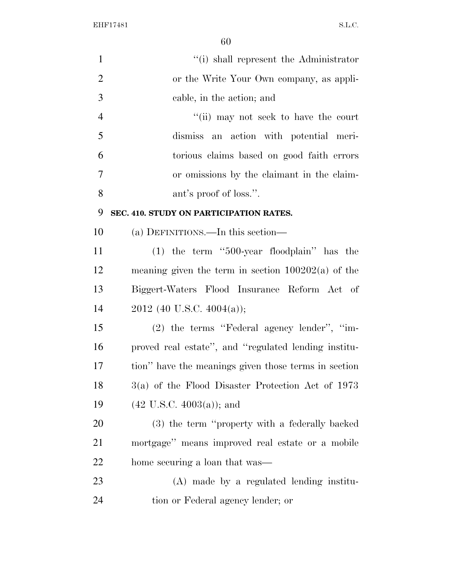| $\mathbf{1}$   | "(i) shall represent the Administrator               |
|----------------|------------------------------------------------------|
| $\overline{2}$ | or the Write Your Own company, as appli-             |
| 3              | cable, in the action; and                            |
| $\overline{4}$ | "(ii) may not seek to have the court                 |
| 5              | dismiss an action with potential meri-               |
| 6              | torious claims based on good faith errors            |
| $\tau$         | or omissions by the claimant in the claim-           |
| 8              | ant's proof of loss.".                               |
| 9              | SEC. 410. STUDY ON PARTICIPATION RATES.              |
| 10             | (a) DEFINITIONS.—In this section—                    |
| 11             | $(1)$ the term "500-year floodplain" has the         |
| 12             | meaning given the term in section $100202(a)$ of the |
| 13             | Biggert-Waters Flood Insurance Reform Act of         |
| 14             | 2012 (40 U.S.C. 4004(a));                            |
| 15             | (2) the terms "Federal agency lender", "im-          |
| 16             | proved real estate", and "regulated lending institu- |
| 17             | tion" have the meanings given those terms in section |
| 18             | $3(a)$ of the Flood Disaster Protection Act of 1973  |
| 19             | $(42 \text{ U.S.C. } 4003(a))$ ; and                 |
| 20             | (3) the term "property with a federally backed       |
| 21             | mortgage" means improved real estate or a mobile     |
| 22             | home securing a loan that was—                       |
| 23             | (A) made by a regulated lending institu-             |
| 24             | tion or Federal agency lender; or                    |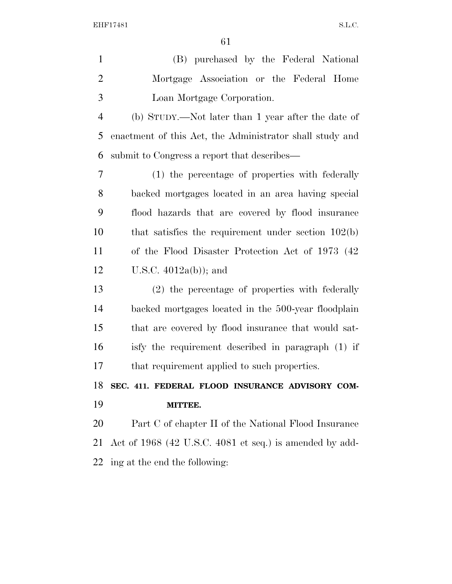| $\mathbf{1}$   | (B) purchased by the Federal National                    |
|----------------|----------------------------------------------------------|
| $\overline{2}$ | Mortgage Association or the Federal Home                 |
| 3              | Loan Mortgage Corporation.                               |
| $\overline{4}$ | (b) STUDY.—Not later than 1 year after the date of       |
| 5              | enactment of this Act, the Administrator shall study and |
| 6              | submit to Congress a report that describes—              |
| 7              | (1) the percentage of properties with federally          |
| 8              | backed mortgages located in an area having special       |
| 9              | flood hazards that are covered by flood insurance        |
| 10             | that satisfies the requirement under section $102(b)$    |
| 11             | of the Flood Disaster Protection Act of 1973 (42)        |
| 12             | U.S.C. $4012a(b)$ ; and                                  |
| 13             | (2) the percentage of properties with federally          |
| 14             | backed mortgages located in the 500-year floodplain      |
| 15             | that are covered by flood insurance that would sat-      |
| 16             | isfy the requirement described in paragraph (1) if       |
| 17             | that requirement applied to such properties.             |
| 18             | SEC. 411. FEDERAL FLOOD INSURANCE ADVISORY COM-          |
| 19             | MITTEE.                                                  |
| 20             | Part C of chapter II of the National Flood Insurance     |
| 21             | Act of 1968 (42 U.S.C. 4081 et seq.) is amended by add-  |
| 22             | ing at the end the following:                            |
|                |                                                          |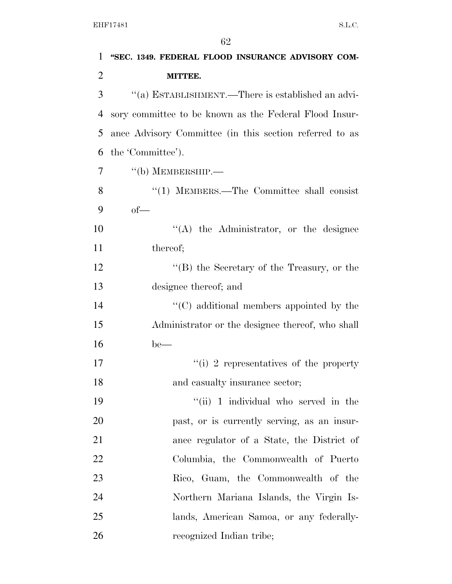| $\mathbf{1}$   | "SEC. 1349. FEDERAL FLOOD INSURANCE ADVISORY COM-       |
|----------------|---------------------------------------------------------|
| $\overline{2}$ | MITTEE.                                                 |
| 3              | "(a) ESTABLISHMENT.—There is established an advi-       |
| $\overline{4}$ | sory committee to be known as the Federal Flood Insur-  |
| 5              | ance Advisory Committee (in this section referred to as |
| 6              | the 'Committee').                                       |
| 7              | $``$ (b) MEMBERSHIP.—                                   |
| 8              | "(1) MEMBERS.—The Committee shall consist               |
| 9              | $of$ —                                                  |
| 10             | $\lq\lq$ the Administrator, or the designee             |
| 11             | thereof;                                                |
| 12             | " $(B)$ the Secretary of the Treasury, or the           |
| 13             | designee thereof; and                                   |
| 14             | $\cdot$ (C) additional members appointed by the         |
| 15             | Administrator or the designee thereof, who shall        |
| 16             | $be$ —                                                  |
| 17             | "(i) 2 representatives of the property                  |
| 18             | and casualty insurance sector;                          |
| 19             | "(ii) 1 individual who served in the                    |
| 20             | past, or is currently serving, as an insur-             |
| 21             | ance regulator of a State, the District of              |
| <u>22</u>      | Columbia, the Commonwealth of Puerto                    |
| 23             | Rico, Guam, the Commonwealth of the                     |
| 24             | Northern Mariana Islands, the Virgin Is-                |
| 25             | lands, American Samoa, or any federally-                |
| 26             | recognized Indian tribe;                                |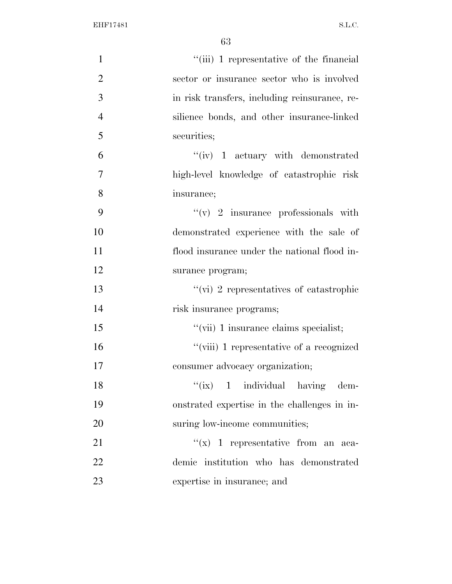| $\mathbf{1}$   | "(iii) 1 representative of the financial      |
|----------------|-----------------------------------------------|
| $\overline{2}$ | sector or insurance sector who is involved    |
| 3              | in risk transfers, including reinsurance, re- |
| $\overline{4}$ | silience bonds, and other insurance-linked    |
| 5              | securities;                                   |
| 6              | $``(iv)$ 1 actuary with demonstrated          |
| $\overline{7}$ | high-level knowledge of catastrophic risk     |
| 8              | insurance;                                    |
| 9              | $\lq\lq$ (v) 2 insurance professionals with   |
| 10             | demonstrated experience with the sale of      |
| 11             | flood insurance under the national flood in-  |
| 12             | surance program;                              |
| 13             | "(vi) 2 representatives of catastrophic       |
| 14             | risk insurance programs;                      |
| 15             | "(vii) 1 insurance claims specialist;         |
| 16             | "(viii) 1 representative of a recognized      |
| 17             | consumer advocacy organization;               |
| 18             | "(ix) 1 individual having dem-                |
| 19             | onstrated expertise in the challenges in in-  |
| 20             | suring low-income communities;                |
| 21             | "(x) 1 representative from an aca-            |
| 22             | demic institution who has demonstrated        |
| 23             | expertise in insurance; and                   |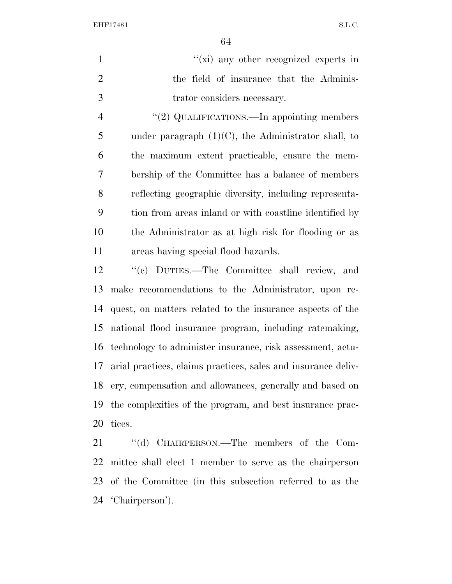|               | $\lq\lq$ (xi) any other recognized experts in |
|---------------|-----------------------------------------------|
|               | the field of insurance that the Adminis-      |
| $\mathcal{R}$ | trator considers necessary.                   |

4 "(2) QUALIFICATIONS.—In appointing members 5 under paragraph  $(1)(C)$ , the Administrator shall, to the maximum extent practicable, ensure the mem- bership of the Committee has a balance of members reflecting geographic diversity, including representa- tion from areas inland or with coastline identified by the Administrator as at high risk for flooding or as areas having special flood hazards.

 ''(c) DUTIES.—The Committee shall review, and make recommendations to the Administrator, upon re- quest, on matters related to the insurance aspects of the national flood insurance program, including ratemaking, technology to administer insurance, risk assessment, actu- arial practices, claims practices, sales and insurance deliv- ery, compensation and allowances, generally and based on the complexities of the program, and best insurance prac-tices.

21 "(d) CHAIRPERSON.—The members of the Com- mittee shall elect 1 member to serve as the chairperson of the Committee (in this subsection referred to as the 'Chairperson').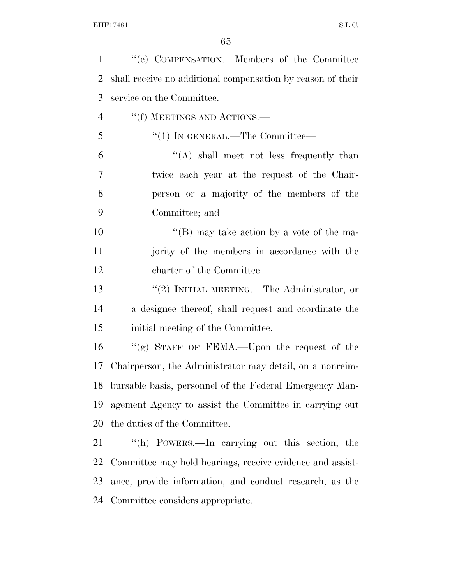| $\mathbf{1}$   | "(e) COMPENSATION.—Members of the Committee                 |
|----------------|-------------------------------------------------------------|
| 2              | shall receive no additional compensation by reason of their |
| 3              | service on the Committee.                                   |
| $\overline{4}$ | "(f) MEETINGS AND ACTIONS.—                                 |
| 5              | "(1) IN GENERAL.—The Committee—                             |
| 6              | $\lq\lq$ shall meet not less frequently than                |
| 7              | twice each year at the request of the Chair-                |
| 8              | person or a majority of the members of the                  |
| 9              | Committee; and                                              |
| 10             | "(B) may take action by a vote of the ma-                   |
| 11             | jority of the members in accordance with the                |
| 12             | charter of the Committee.                                   |
| 13             | $\lq(2)$ INITIAL MEETING.—The Administrator, or             |
| 14             | a designee thereof, shall request and coordinate the        |
| 15             | initial meeting of the Committee.                           |
| 16             | "(g) STAFF OF FEMA.—Upon the request of the                 |
| 17             | Chairperson, the Administrator may detail, on a nonreim-    |
| 18             | bursable basis, personnel of the Federal Emergency Man-     |
| 19             | agement Agency to assist the Committee in carrying out      |
| 20             | the duties of the Committee.                                |
| 21             | "(h) POWERS.—In carrying out this section, the              |
| 22             | Committee may hold hearings, receive evidence and assist-   |
| 23             | ance, provide information, and conduct research, as the     |
| 24             | Committee considers appropriate.                            |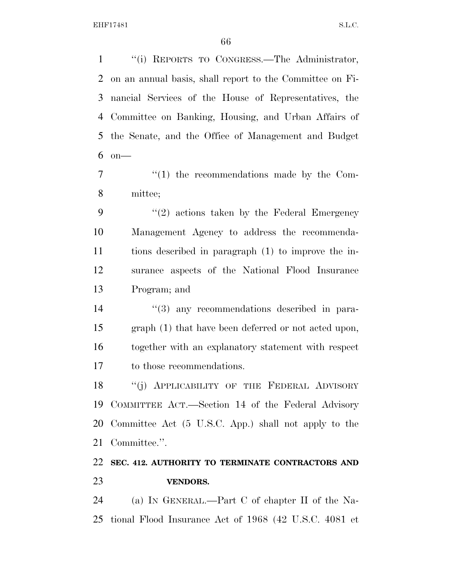''(i) REPORTS TO CONGRESS.—The Administrator, on an annual basis, shall report to the Committee on Fi- nancial Services of the House of Representatives, the Committee on Banking, Housing, and Urban Affairs of the Senate, and the Office of Management and Budget on—

7  $\frac{1}{1}$  the recommendations made by the Com-mittee;

 $(2)$  actions taken by the Federal Emergency Management Agency to address the recommenda- tions described in paragraph (1) to improve the in- surance aspects of the National Flood Insurance Program; and

 $(3)$  any recommendations described in para- graph (1) that have been deferred or not acted upon, together with an explanatory statement with respect to those recommendations.

18 "(j) APPLICABILITY OF THE FEDERAL ADVISORY COMMITTEE ACT.—Section 14 of the Federal Advisory Committee Act (5 U.S.C. App.) shall not apply to the Committee.''.

### **SEC. 412. AUTHORITY TO TERMINATE CONTRACTORS AND VENDORS.**

 (a) IN GENERAL.—Part C of chapter II of the Na-tional Flood Insurance Act of 1968 (42 U.S.C. 4081 et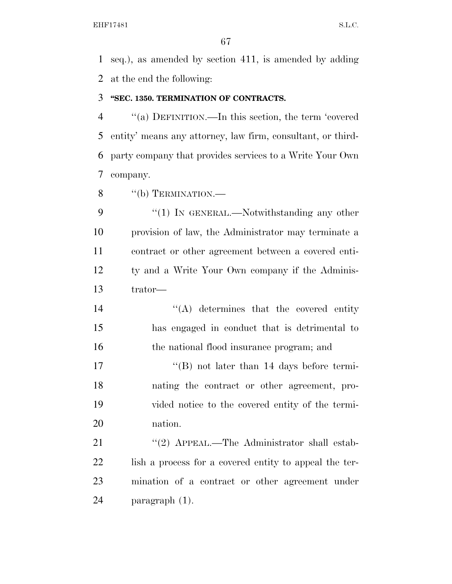seq.), as amended by section 411, is amended by adding at the end the following:

#### **''SEC. 1350. TERMINATION OF CONTRACTS.**

 ''(a) DEFINITION.—In this section, the term 'covered entity' means any attorney, law firm, consultant, or third- party company that provides services to a Write Your Own company.

8 "(b) TERMINATION.—

9 "(1) In GENERAL.—Notwithstanding any other provision of law, the Administrator may terminate a contract or other agreement between a covered enti- ty and a Write Your Own company if the Adminis-trator—

14 ''(A) determines that the covered entity has engaged in conduct that is detrimental to 16 the national flood insurance program; and

17 ''(B) not later than 14 days before termi- nating the contract or other agreement, pro- vided notice to the covered entity of the termi-nation.

21 ''(2) APPEAL.—The Administrator shall estab-22 lish a process for a covered entity to appeal the ter- mination of a contract or other agreement under paragraph (1).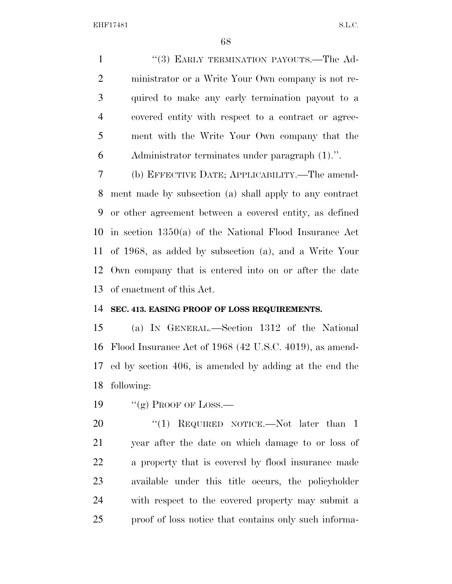1 "(3) EARLY TERMINATION PAYOUTS.—The Ad- ministrator or a Write Your Own company is not re- quired to make any early termination payout to a covered entity with respect to a contract or agree- ment with the Write Your Own company that the Administrator terminates under paragraph (1).''.

 (b) EFFECTIVE DATE; APPLICABILITY.—The amend- ment made by subsection (a) shall apply to any contract or other agreement between a covered entity, as defined in section 1350(a) of the National Flood Insurance Act of 1968, as added by subsection (a), and a Write Your Own company that is entered into on or after the date of enactment of this Act.

#### **SEC. 413. EASING PROOF OF LOSS REQUIREMENTS.**

 (a) IN GENERAL.—Section 1312 of the National Flood Insurance Act of 1968 (42 U.S.C. 4019), as amend- ed by section 406, is amended by adding at the end the following:

19  $\frac{1}{2}$   $\frac{1}{2}$  Proof of Loss.

20 "(1) REQUIRED NOTICE.—Not later than 1 year after the date on which damage to or loss of a property that is covered by flood insurance made available under this title occurs, the policyholder with respect to the covered property may submit a proof of loss notice that contains only such informa-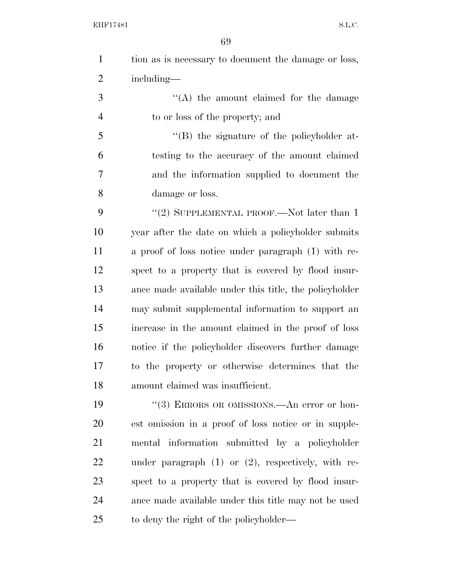|   | tion as is necessary to document the damage or loss, |
|---|------------------------------------------------------|
| 2 | including—                                           |

3 ''(A) the amount claimed for the damage to or loss of the property; and

 ''(B) the signature of the policyholder at- testing to the accuracy of the amount claimed and the information supplied to document the damage or loss.

9 "(2) SUPPLEMENTAL PROOF.—Not later than 1 year after the date on which a policyholder submits a proof of loss notice under paragraph (1) with re- spect to a property that is covered by flood insur- ance made available under this title, the policyholder may submit supplemental information to support an increase in the amount claimed in the proof of loss notice if the policyholder discovers further damage to the property or otherwise determines that the amount claimed was insufficient.

19 ''(3) ERRORS OR OMISSIONS.—An error or hon- est omission in a proof of loss notice or in supple- mental information submitted by a policyholder under paragraph (1) or (2), respectively, with re- spect to a property that is covered by flood insur- ance made available under this title may not be used to deny the right of the policyholder—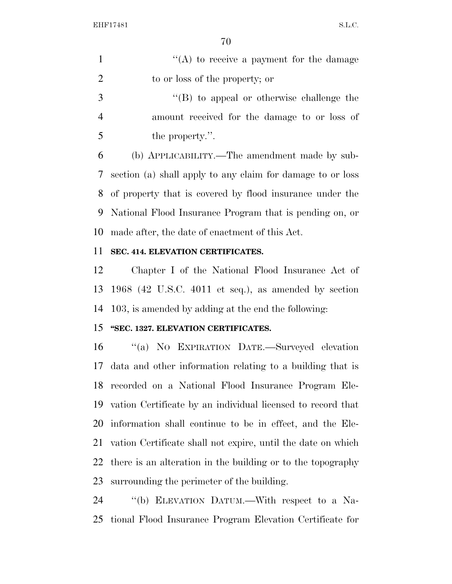1  $"({\rm A})$  to receive a payment for the damage 2 to or loss of the property; or

 ''(B) to appeal or otherwise challenge the amount received for the damage to or loss of the property.''.

 (b) APPLICABILITY.—The amendment made by sub- section (a) shall apply to any claim for damage to or loss of property that is covered by flood insurance under the National Flood Insurance Program that is pending on, or made after, the date of enactment of this Act.

#### **SEC. 414. ELEVATION CERTIFICATES.**

 Chapter I of the National Flood Insurance Act of 1968 (42 U.S.C. 4011 et seq.), as amended by section 103, is amended by adding at the end the following:

### **''SEC. 1327. ELEVATION CERTIFICATES.**

 ''(a) NO EXPIRATION DATE.—Surveyed elevation data and other information relating to a building that is recorded on a National Flood Insurance Program Ele- vation Certificate by an individual licensed to record that information shall continue to be in effect, and the Ele- vation Certificate shall not expire, until the date on which there is an alteration in the building or to the topography surrounding the perimeter of the building.

 ''(b) ELEVATION DATUM.—With respect to a Na-tional Flood Insurance Program Elevation Certificate for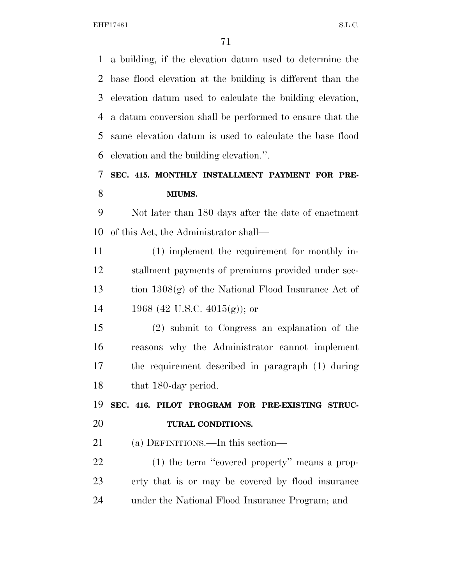a building, if the elevation datum used to determine the base flood elevation at the building is different than the elevation datum used to calculate the building elevation, a datum conversion shall be performed to ensure that the same elevation datum is used to calculate the base flood elevation and the building elevation.''.

### **SEC. 415. MONTHLY INSTALLMENT PAYMENT FOR PRE-MIUMS.**

 Not later than 180 days after the date of enactment of this Act, the Administrator shall—

 (1) implement the requirement for monthly in- stallment payments of premiums provided under sec- tion 1308(g) of the National Flood Insurance Act of 14 1968 (42 U.S.C.  $4015(g)$ ); or

 (2) submit to Congress an explanation of the reasons why the Administrator cannot implement the requirement described in paragraph (1) during 18 that 180-day period.

 **SEC. 416. PILOT PROGRAM FOR PRE-EXISTING STRUC-TURAL CONDITIONS.** 

(a) DEFINITIONS.—In this section—

22 (1) the term "covered property" means a prop- erty that is or may be covered by flood insurance under the National Flood Insurance Program; and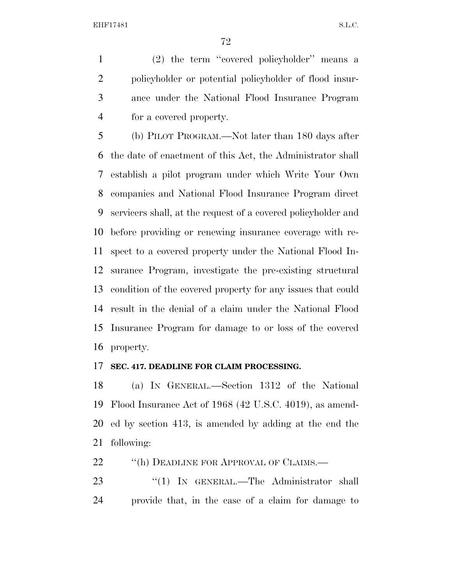(2) the term ''covered policyholder'' means a policyholder or potential policyholder of flood insur- ance under the National Flood Insurance Program for a covered property.

 (b) PILOT PROGRAM.—Not later than 180 days after the date of enactment of this Act, the Administrator shall establish a pilot program under which Write Your Own companies and National Flood Insurance Program direct servicers shall, at the request of a covered policyholder and before providing or renewing insurance coverage with re- spect to a covered property under the National Flood In- surance Program, investigate the pre-existing structural condition of the covered property for any issues that could result in the denial of a claim under the National Flood Insurance Program for damage to or loss of the covered property.

#### **SEC. 417. DEADLINE FOR CLAIM PROCESSING.**

 (a) IN GENERAL.—Section 1312 of the National Flood Insurance Act of 1968 (42 U.S.C. 4019), as amend- ed by section 413, is amended by adding at the end the following:

22 "(h) DEADLINE FOR APPROVAL OF CLAIMS.—

23 "(1) IN GENERAL.—The Administrator shall provide that, in the case of a claim for damage to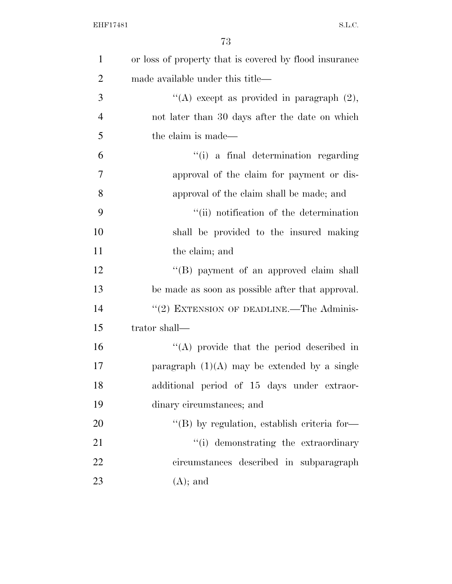| $\mathbf{1}$   | or loss of property that is covered by flood insurance |
|----------------|--------------------------------------------------------|
| $\overline{2}$ | made available under this title—                       |
| 3              | "(A) except as provided in paragraph $(2)$ ,           |
| $\overline{4}$ | not later than 30 days after the date on which         |
| 5              | the claim is made—                                     |
| 6              | "(i) a final determination regarding                   |
| 7              | approval of the claim for payment or dis-              |
| 8              | approval of the claim shall be made; and               |
| 9              | "(ii) notification of the determination                |
| 10             | shall be provided to the insured making                |
| 11             | the claim; and                                         |
| 12             | "(B) payment of an approved claim shall                |
| 13             | be made as soon as possible after that approval.       |
| 14             | "(2) EXTENSION OF DEADLINE.—The Adminis-               |
| 15             | trator shall—                                          |
| 16             | $\lq\lq$ provide that the period described in          |
| 17             | paragraph $(1)(A)$ may be extended by a single         |
| 18             | additional period of 15 days under extraor-            |
| 19             | dinary circumstances; and                              |
| 20             | "(B) by regulation, establish criteria for-            |
| 21             | "(i) demonstrating the extraordinary                   |
| 22             | circumstances described in subparagraph                |
| 23             | $(A)$ ; and                                            |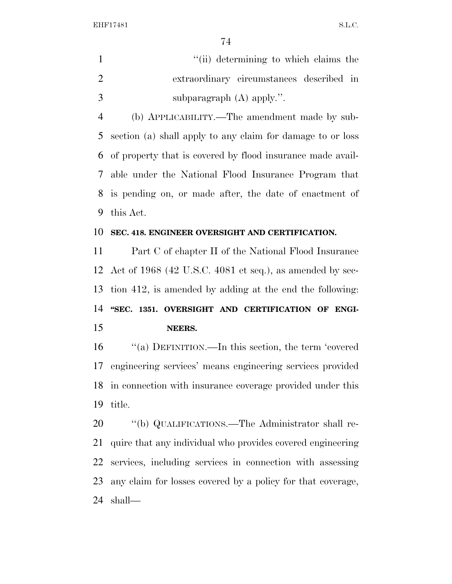1 ''(ii) determining to which claims the extraordinary circumstances described in subparagraph (A) apply.''.

 (b) APPLICABILITY.—The amendment made by sub- section (a) shall apply to any claim for damage to or loss of property that is covered by flood insurance made avail- able under the National Flood Insurance Program that is pending on, or made after, the date of enactment of this Act.

## **SEC. 418. ENGINEER OVERSIGHT AND CERTIFICATION.**

 Part C of chapter II of the National Flood Insurance Act of 1968 (42 U.S.C. 4081 et seq.), as amended by sec- tion 412, is amended by adding at the end the following: 14 "SEC. 1351. OVERSIGHT AND CERTIFICATION OF ENGI-**NEERS.** 

 ''(a) DEFINITION.—In this section, the term 'covered engineering services' means engineering services provided in connection with insurance coverage provided under this title.

 ''(b) QUALIFICATIONS.—The Administrator shall re- quire that any individual who provides covered engineering services, including services in connection with assessing any claim for losses covered by a policy for that coverage, shall—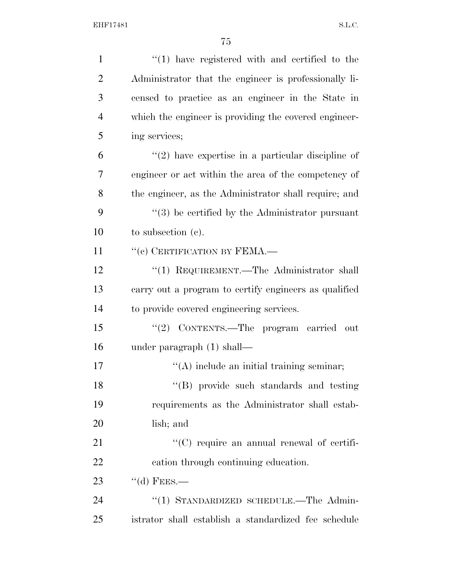| $\mathbf{1}$   | $\lq(1)$ have registered with and certified to the    |
|----------------|-------------------------------------------------------|
| $\overline{2}$ | Administrator that the engineer is professionally li- |
| 3              | censed to practice as an engineer in the State in     |
| $\overline{4}$ | which the engineer is providing the covered engineer- |
| 5              | ing services;                                         |
| 6              | $''(2)$ have expertise in a particular discipline of  |
| 7              | engineer or act within the area of the competency of  |
| 8              | the engineer, as the Administrator shall require; and |
| 9              | $\lq(3)$ be certified by the Administrator pursuant   |
| 10             | to subsection $(e)$ .                                 |
| 11             | "(c) CERTIFICATION BY FEMA.—                          |
| 12             | "(1) REQUIREMENT.—The Administrator shall             |
| 13             | carry out a program to certify engineers as qualified |
| 14             | to provide covered engineering services.              |
| 15             | "(2) CONTENTS.—The program carried<br>- out           |
| 16             | under paragraph $(1)$ shall—                          |
| 17             | $\lq\lq$ include an initial training seminar;         |
| 18             | "(B) provide such standards and testing               |
| 19             | requirements as the Administrator shall estab-        |
| 20             | lish; and                                             |
| 21             | $\lq\lq$ (C) require an annual renewal of certifi-    |
| 22             | cation through continuing education.                  |
| 23             | $\lq\lq$ FEES.—                                       |
| 24             | "(1) STANDARDIZED SCHEDULE.—The Admin-                |
| 25             | istrator shall establish a standardized fee schedule  |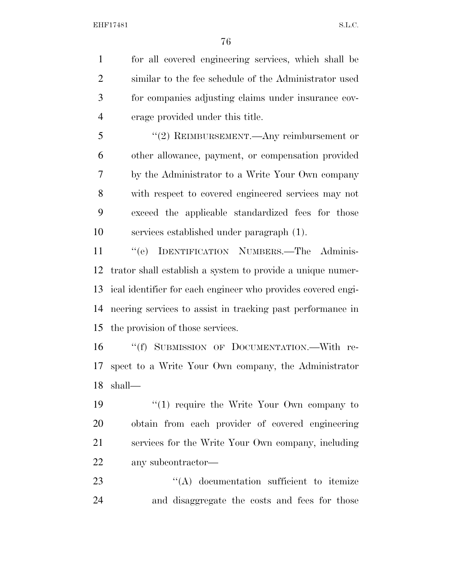for all covered engineering services, which shall be similar to the fee schedule of the Administrator used for companies adjusting claims under insurance cov-erage provided under this title.

 ''(2) REIMBURSEMENT.—Any reimbursement or other allowance, payment, or compensation provided by the Administrator to a Write Your Own company with respect to covered engineered services may not exceed the applicable standardized fees for those services established under paragraph (1).

 ''(e) IDENTIFICATION NUMBERS.—The Adminis- trator shall establish a system to provide a unique numer- ical identifier for each engineer who provides covered engi- neering services to assist in tracking past performance in the provision of those services.

 ''(f) SUBMISSION OF DOCUMENTATION.—With re- spect to a Write Your Own company, the Administrator shall—

 $\frac{1}{2}$  (1) require the Write Your Own company to obtain from each provider of covered engineering services for the Write Your Own company, including any subcontractor—

23 ''(A) documentation sufficient to itemize and disaggregate the costs and fees for those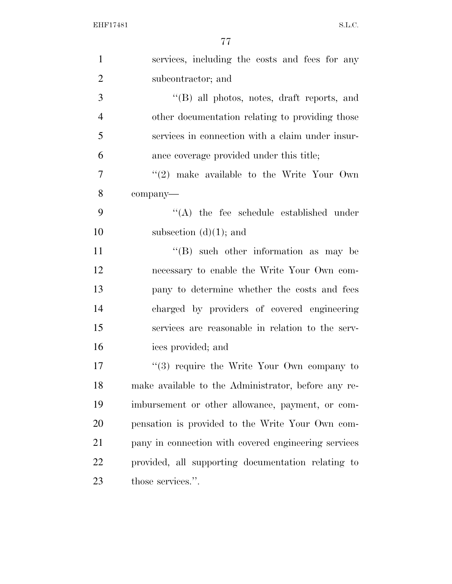| $\mathbf{1}$   | services, including the costs and fees for any       |
|----------------|------------------------------------------------------|
| $\overline{2}$ | subcontractor; and                                   |
| 3              | $\lq\lq$ (B) all photos, notes, draft reports, and   |
| $\overline{4}$ | other documentation relating to providing those      |
| 5              | services in connection with a claim under insur-     |
| 6              | ance coverage provided under this title;             |
| 7              | $(2)$ make available to the Write Your Own           |
| 8              | company-                                             |
| 9              | $\lq\lq$ the fee schedule established under          |
| 10             | subsection $(d)(1)$ ; and                            |
| 11             | $\lq\lq$ such other information as may be            |
| 12             | necessary to enable the Write Your Own com-          |
| 13             | pany to determine whether the costs and fees         |
| 14             | charged by providers of covered engineering          |
| 15             | services are reasonable in relation to the serv-     |
| 16             | ices provided; and                                   |
| 17             | $(3)$ require the Write Your Own company to          |
| 18             | make available to the Administrator, before any re-  |
| 19             | imbursement or other allowance, payment, or com-     |
| 20             | pensation is provided to the Write Your Own com-     |
| 21             | pany in connection with covered engineering services |
| 22             | provided, all supporting documentation relating to   |
| 23             | those services.".                                    |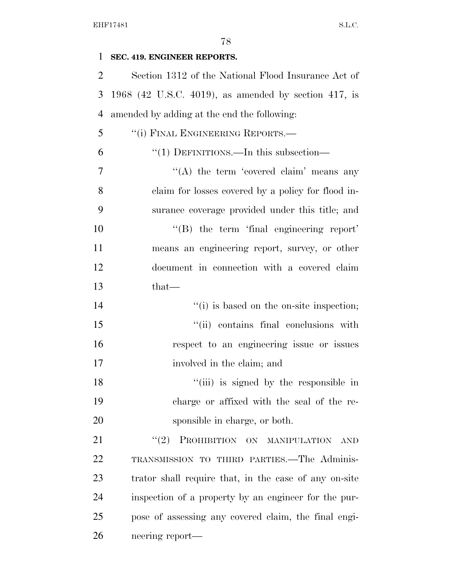| 1              | SEC. 419. ENGINEER REPORTS.                           |
|----------------|-------------------------------------------------------|
| $\overline{2}$ | Section 1312 of the National Flood Insurance Act of   |
| 3              | 1968 (42 U.S.C. 4019), as amended by section 417, is  |
| $\overline{4}$ | amended by adding at the end the following:           |
| 5              | "(i) FINAL ENGINEERING REPORTS.—                      |
| 6              | "(1) DEFINITIONS.—In this subsection—                 |
| 7              | "(A) the term 'covered claim' means any               |
| 8              | claim for losses covered by a policy for flood in-    |
| 9              | surance coverage provided under this title; and       |
| 10             | $\lq\lq(B)$ the term 'final engineering report'       |
| 11             | means an engineering report, survey, or other         |
| 12             | document in connection with a covered claim           |
| 13             | $that-$                                               |
| 14             | "(i) is based on the on-site inspection;              |
| 15             | "(ii) contains final conclusions with                 |
| 16             | respect to an engineering issue or issues             |
| 17             | involved in the claim; and                            |
| 18             | "(iii) is signed by the responsible in                |
| 19             | charge or affixed with the seal of the re-            |
| 20             | sponsible in charge, or both.                         |
| 21             | PROHIBITION ON MANIPULATION<br>(2)<br><b>AND</b>      |
| 22             | TRANSMISSION TO THIRD PARTIES. The Adminis-           |
| 23             | trator shall require that, in the case of any on-site |
| 24             | inspection of a property by an engineer for the pur-  |
| 25             | pose of assessing any covered claim, the final engi-  |
| 26             | neering report—                                       |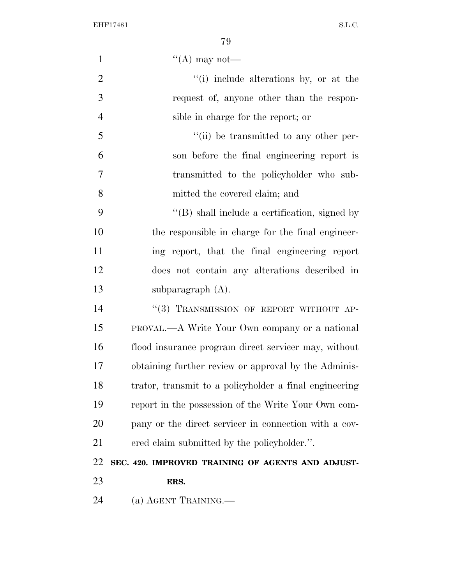| $\mathbf{1}$   | $\lq\lq$ (A) may not—                                  |
|----------------|--------------------------------------------------------|
| $\overline{2}$ | "(i) include alterations by, or at the                 |
| $\mathfrak{Z}$ | request of, anyone other than the respon-              |
| $\overline{4}$ | sible in charge for the report; or                     |
| 5              | "(ii) be transmitted to any other per-                 |
| 6              | son before the final engineering report is             |
| $\overline{7}$ | transmitted to the policyholder who sub-               |
| 8              | mitted the covered claim; and                          |
| 9              | $\lq\lq$ shall include a certification, signed by      |
| 10             | the responsible in charge for the final engineer-      |
| 11             | ing report, that the final engineering report          |
| 12             | does not contain any alterations described in          |
| 13             | subparagraph $(A)$ .                                   |
| 14             | "(3) TRANSMISSION OF REPORT WITHOUT AP-                |
| 15             | <b>PROVAL.—A Write Your Own company or a national</b>  |
| 16             | flood insurance program direct servicer may, without   |
| 17             | obtaining further review or approval by the Adminis-   |
| 18             | trator, transmit to a policyholder a final engineering |
| 19             | report in the possession of the Write Your Own com-    |
| 20             | pany or the direct servicer in connection with a cov-  |
| 21             | ered claim submitted by the policyholder.".            |
| 22             | SEC. 420. IMPROVED TRAINING OF AGENTS AND ADJUST-      |
| 23             | ERS.                                                   |
| 24             | (a) AGENT TRAINING.—                                   |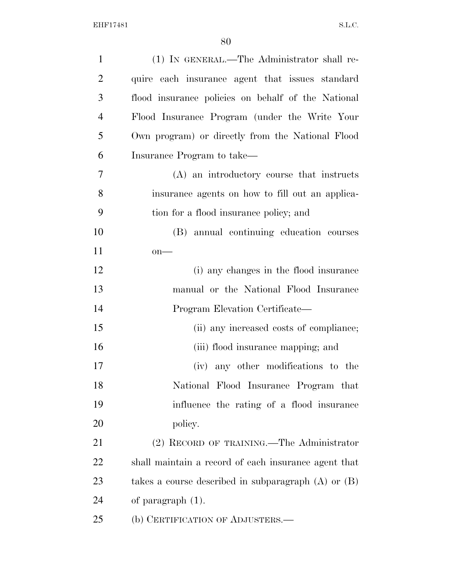| $\mathbf{1}$   | (1) IN GENERAL.—The Administrator shall re-             |
|----------------|---------------------------------------------------------|
| $\overline{2}$ | quire each insurance agent that issues standard         |
| 3              | flood insurance policies on behalf of the National      |
| $\overline{4}$ | Flood Insurance Program (under the Write Your           |
| 5              | Own program) or directly from the National Flood        |
| 6              | Insurance Program to take—                              |
| 7              | (A) an introductory course that instructs               |
| 8              | insurance agents on how to fill out an applica-         |
| 9              | tion for a flood insurance policy; and                  |
| 10             | (B) annual continuing education courses                 |
| 11             | $on$ —                                                  |
| 12             | (i) any changes in the flood insurance                  |
| 13             | manual or the National Flood Insurance                  |
| 14             | Program Elevation Certificate—                          |
| 15             | (ii) any increased costs of compliance;                 |
| 16             | (iii) flood insurance mapping; and                      |
| 17             | (iv) any other modifications to the                     |
| 18             | National Flood Insurance Program that                   |
| 19             | influence the rating of a flood insurance               |
| 20             | policy.                                                 |
| 21             | (2) RECORD OF TRAINING.—The Administrator               |
| 22             | shall maintain a record of each insurance agent that    |
| 23             | takes a course described in subparagraph $(A)$ or $(B)$ |
| 24             | of paragraph $(1)$ .                                    |
| 25             | (b) CERTIFICATION OF ADJUSTERS.—                        |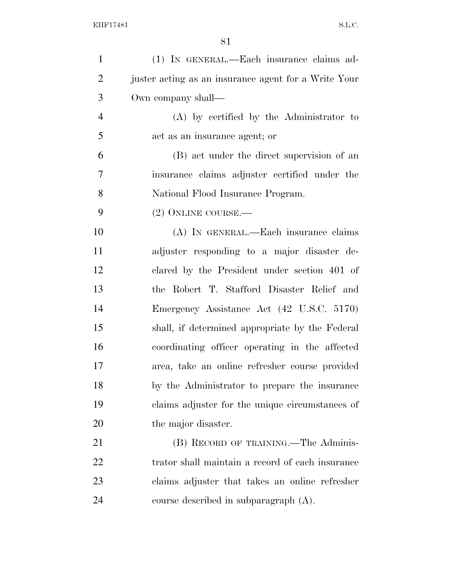| $\mathbf{1}$   | (1) IN GENERAL.—Each insurance claims ad-            |
|----------------|------------------------------------------------------|
| $\overline{2}$ | juster acting as an insurance agent for a Write Your |
| 3              | Own company shall—                                   |
| $\overline{4}$ | (A) by certified by the Administrator to             |
| 5              | act as an insurance agent; or                        |
| 6              | (B) act under the direct supervision of an           |
| 7              | insurance claims adjuster certified under the        |
| 8              | National Flood Insurance Program.                    |
| 9              | (2) ONLINE COURSE.—                                  |
| 10             | (A) IN GENERAL.—Each insurance claims                |
| 11             | adjuster responding to a major disaster de-          |
| 12             | clared by the President under section 401 of         |
| 13             | the Robert T. Stafford Disaster Relief and           |
| 14             | Emergency Assistance Act (42 U.S.C. 5170)            |
| 15             | shall, if determined appropriate by the Federal      |
| 16             | coordinating officer operating in the affected       |
| 17             | area, take an online refresher course provided       |
| 18             | by the Administrator to prepare the insurance        |
| 19             | claims adjuster for the unique circumstances of      |
| 20             | the major disaster.                                  |
| 21             | (B) RECORD OF TRAINING.—The Adminis-                 |
| 22             | trator shall maintain a record of each insurance     |
| 23             | claims adjuster that takes an online refresher       |
| 24             | course described in subparagraph (A).                |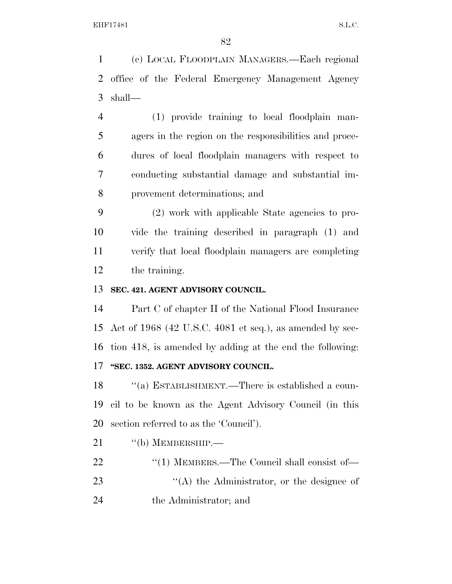(c) LOCAL FLOODPLAIN MANAGERS.—Each regional office of the Federal Emergency Management Agency shall—

 (1) provide training to local floodplain man- agers in the region on the responsibilities and proce- dures of local floodplain managers with respect to conducting substantial damage and substantial im-provement determinations; and

 (2) work with applicable State agencies to pro- vide the training described in paragraph (1) and verify that local floodplain managers are completing the training.

## **SEC. 421. AGENT ADVISORY COUNCIL.**

 Part C of chapter II of the National Flood Insurance Act of 1968 (42 U.S.C. 4081 et seq.), as amended by sec- tion 418, is amended by adding at the end the following: **''SEC. 1352. AGENT ADVISORY COUNCIL.** 

18 "(a) ESTABLISHMENT.—There is established a coun- cil to be known as the Agent Advisory Council (in this section referred to as the 'Council').

- 21 "(b) MEMBERSHIP.—
- ''(1) MEMBERS.—The Council shall consist of—
- 23 ''(A) the Administrator, or the designee of the Administrator; and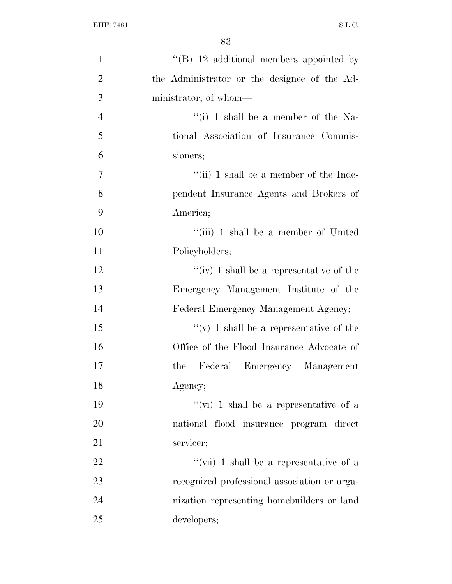| 1              | "(B) $12$ additional members appointed by    |
|----------------|----------------------------------------------|
| $\overline{2}$ | the Administrator or the designee of the Ad- |
| 3              | ministrator, of whom—                        |
| $\overline{4}$ | "(i) 1 shall be a member of the Na-          |
| 5              | tional Association of Insurance Commis-      |
| 6              | sioners;                                     |
| $\overline{7}$ | "(ii) 1 shall be a member of the Inde-       |
| 8              | pendent Insurance Agents and Brokers of      |
| 9              | America;                                     |
| 10             | "(iii) 1 shall be a member of United         |
| 11             | Policyholders;                               |
| 12             | "(iv) 1 shall be a representative of the     |
| 13             | Emergency Management Institute of the        |
| 14             | Federal Emergency Management Agency;         |
| 15             | "(v) 1 shall be a representative of the      |
| 16             | Office of the Flood Insurance Advocate of    |
| 17             | Emergency Management<br>Federal<br>the       |
| 18             | Agency;                                      |
| 19             | "(vi) 1 shall be a representative of a       |
| 20             | national flood insurance program direct      |
| 21             | servicer;                                    |
| 22             | "(vii) 1 shall be a representative of a      |
| 23             | recognized professional association or orga- |
| 24             | nization representing homebuilders or land   |
| 25             | developers;                                  |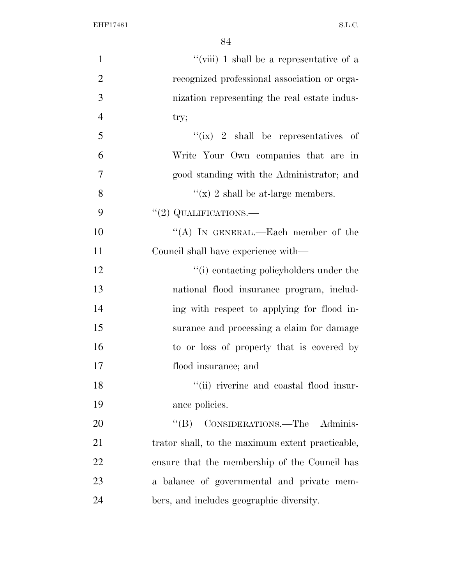| $\mathbf{1}$   | "(viii) 1 shall be a representative of a         |
|----------------|--------------------------------------------------|
| $\overline{2}$ | recognized professional association or orga-     |
| $\overline{3}$ | nization representing the real estate indus-     |
| $\overline{4}$ | try;                                             |
| 5              | "(ix) 2 shall be representatives of              |
| 6              | Write Your Own companies that are in             |
| $\tau$         | good standing with the Administrator; and        |
| 8              | "(x) 2 shall be at-large members.                |
| 9              | $"(2)$ QUALIFICATIONS.—                          |
| 10             | "(A) IN GENERAL.—Each member of the              |
| 11             | Council shall have experience with—              |
| 12             | "(i) contacting policyholders under the          |
| 13             | national flood insurance program, includ-        |
| 14             | ing with respect to applying for flood in-       |
| 15             | surance and processing a claim for damage        |
| 16             | to or loss of property that is covered by        |
| 17             | flood insurance; and                             |
| 18             | "(ii) riverine and coastal flood insur-          |
| 19             | ance policies.                                   |
| 20             | CONSIDERATIONS.—The Adminis-<br>$\lq\lq (B)$     |
| 21             | trator shall, to the maximum extent practicable, |
| 22             | ensure that the membership of the Council has    |
| 23             | a balance of governmental and private mem-       |
| 24             | bers, and includes geographic diversity.         |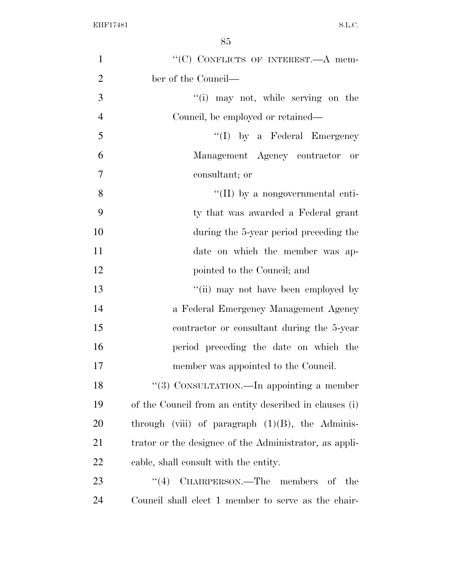| $\mathbf{1}$   | "(C) CONFLICTS OF INTEREST.—A mem-                     |
|----------------|--------------------------------------------------------|
| $\overline{2}$ | ber of the Council—                                    |
| 3              | "(i) may not, while serving on the                     |
| $\overline{4}$ | Council, be employed or retained—                      |
| 5              | $\lq\lq$ (I) by a Federal Emergency                    |
| 6              | Management Agency contractor or                        |
| $\tau$         | consultant; or                                         |
| 8              | $\lq\lq$ (II) by a nongovernmental enti-               |
| 9              | ty that was awarded a Federal grant                    |
| 10             | during the 5-year period preceding the                 |
| 11             | date on which the member was ap-                       |
| 12             | pointed to the Council; and                            |
| 13             | "(ii) may not have been employed by                    |
| 14             | a Federal Emergency Management Agency                  |
| 15             | contractor or consultant during the 5-year             |
| 16             | period preceding the date on which the                 |
| 17             | member was appointed to the Council.                   |
| 18             | "(3) CONSULTATION.—In appointing a member              |
| 19             | of the Council from an entity described in clauses (i) |
| <b>20</b>      | through (viii) of paragraph $(1)(B)$ , the Adminis-    |
| 21             | trator or the designee of the Administrator, as appli- |
| 22             | cable, shall consult with the entity.                  |
| 23             | CHAIRPERSON.—The members of the<br>(4)                 |
| 24             | Council shall elect 1 member to serve as the chair-    |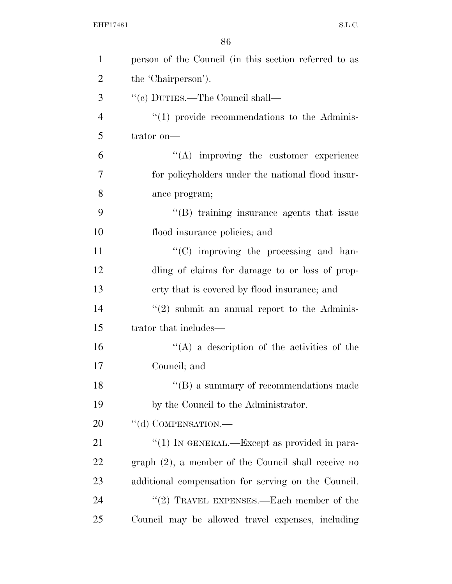| $\mathbf{1}$   | person of the Council (in this section referred to as  |
|----------------|--------------------------------------------------------|
| $\overline{2}$ | the 'Chairperson').                                    |
| 3              | $\lq\lq (c)$ DUTIES.—The Council shall—                |
| $\overline{4}$ | $\lq(1)$ provide recommendations to the Adminis-       |
| 5              | trator on-                                             |
| 6              | $\lq\lq$ improving the customer experience             |
| 7              | for policyholders under the national flood insur-      |
| 8              | ance program;                                          |
| 9              | "(B) training insurance agents that issue              |
| 10             | flood insurance policies; and                          |
| 11             | "(C) improving the processing and han-                 |
| 12             | dling of claims for damage to or loss of prop-         |
| 13             | erty that is covered by flood insurance; and           |
| 14             | $\lq(2)$ submit an annual report to the Adminis-       |
| 15             | trator that includes—                                  |
| 16             | $\lq\lq$ a description of the activities of the        |
| 17             | Council; and                                           |
| 18             | $\lq\lq (B)$ a summary of recommendations made         |
| 19             | by the Council to the Administrator.                   |
| 20             | "(d) COMPENSATION.—                                    |
| 21             | "(1) IN GENERAL.—Except as provided in para-           |
| 22             | $graph (2)$ , a member of the Council shall receive no |
| 23             | additional compensation for serving on the Council.    |
| 24             | "(2) TRAVEL EXPENSES.—Each member of the               |
| 25             | Council may be allowed travel expenses, including      |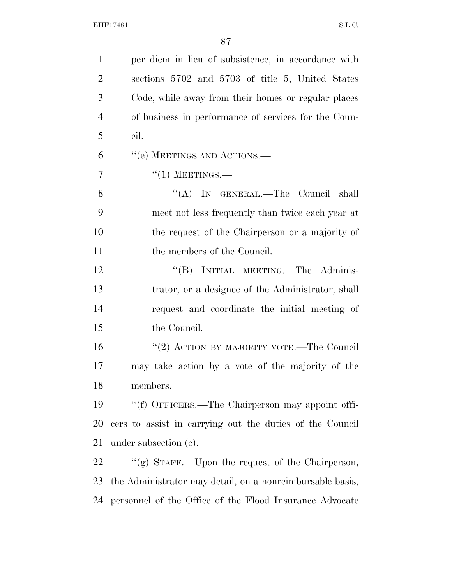| $\mathbf{1}$   | per diem in lieu of subsistence, in accordance with       |
|----------------|-----------------------------------------------------------|
| $\overline{2}$ | sections 5702 and 5703 of title 5, United States          |
| 3              | Code, while away from their homes or regular places       |
| $\overline{4}$ | of business in performance of services for the Coun-      |
| 5              | cil.                                                      |
| 6              | "(e) MEETINGS AND ACTIONS.—                               |
| 7              | $``(1)$ MEETINGS.—                                        |
| 8              | "(A) IN GENERAL.—The Council shall                        |
| 9              | meet not less frequently than twice each year at          |
| 10             | the request of the Chairperson or a majority of           |
| 11             | the members of the Council.                               |
| 12             | "(B) INITIAL MEETING.—The Adminis-                        |
| 13             | trator, or a designee of the Administrator, shall         |
| 14             | request and coordinate the initial meeting of             |
| 15             | the Council.                                              |
| 16             | "(2) ACTION BY MAJORITY VOTE.—The Council                 |
| 17             | may take action by a vote of the majority of the          |
| 18             | members.                                                  |
| 19             | "(f) OFFICERS.—The Chairperson may appoint offi-          |
| 20             | cers to assist in carrying out the duties of the Council  |
| 21             | under subsection $(c)$ .                                  |
| 22             | "(g) STAFF.—Upon the request of the Chairperson,          |
| 23             | the Administrator may detail, on a nonreimbursable basis, |
| 24             | personnel of the Office of the Flood Insurance Advocate   |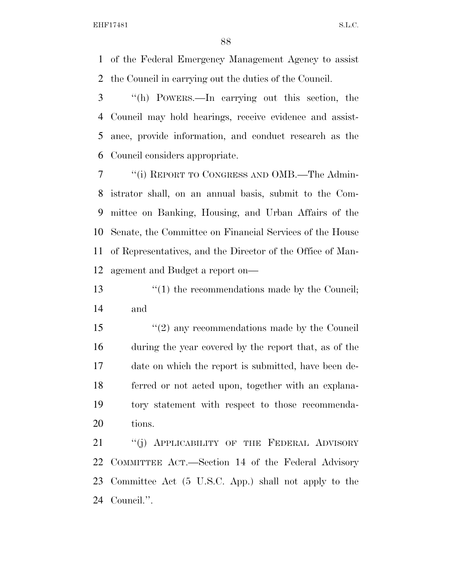of the Federal Emergency Management Agency to assist the Council in carrying out the duties of the Council.

 ''(h) POWERS.—In carrying out this section, the Council may hold hearings, receive evidence and assist- ance, provide information, and conduct research as the Council considers appropriate.

 ''(i) REPORT TO CONGRESS AND OMB.—The Admin- istrator shall, on an annual basis, submit to the Com- mittee on Banking, Housing, and Urban Affairs of the Senate, the Committee on Financial Services of the House of Representatives, and the Director of the Office of Man-agement and Budget a report on—

13  $\frac{13}{2}$  (1) the recommendations made by the Council; and

15 ''(2) any recommendations made by the Council during the year covered by the report that, as of the date on which the report is submitted, have been de- ferred or not acted upon, together with an explana- tory statement with respect to those recommenda-tions.

21 "(j) APPLICABILITY OF THE FEDERAL ADVISORY COMMITTEE ACT.—Section 14 of the Federal Advisory Committee Act (5 U.S.C. App.) shall not apply to the Council.''.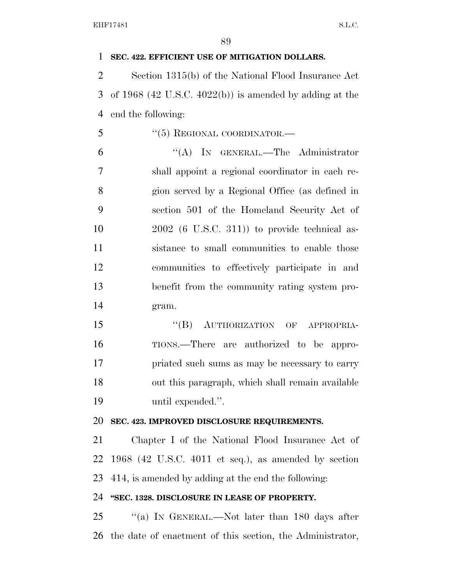**SEC. 422. EFFICIENT USE OF MITIGATION DOLLARS.**  Section 1315(b) of the National Flood Insurance Act of 1968 (42 U.S.C. 4022(b)) is amended by adding at the end the following: 5 "(5) REGIONAL COORDINATOR.— ''(A) IN GENERAL.—The Administrator shall appoint a regional coordinator in each re- gion served by a Regional Office (as defined in section 501 of the Homeland Security Act of 2002 (6 U.S.C. 311)) to provide technical as- sistance to small communities to enable those communities to effectively participate in and benefit from the community rating system pro- gram. 15 "(B) AUTHORIZATION OF APPROPRIA- TIONS.—There are authorized to be appro- priated such sums as may be necessary to carry out this paragraph, which shall remain available until expended.''. **SEC. 423. IMPROVED DISCLOSURE REQUIREMENTS.**  Chapter I of the National Flood Insurance Act of 1968 (42 U.S.C. 4011 et seq.), as amended by section 414, is amended by adding at the end the following: **''SEC. 1328. DISCLOSURE IN LEASE OF PROPERTY.**  25 "(a) IN GENERAL.—Not later than 180 days after the date of enactment of this section, the Administrator,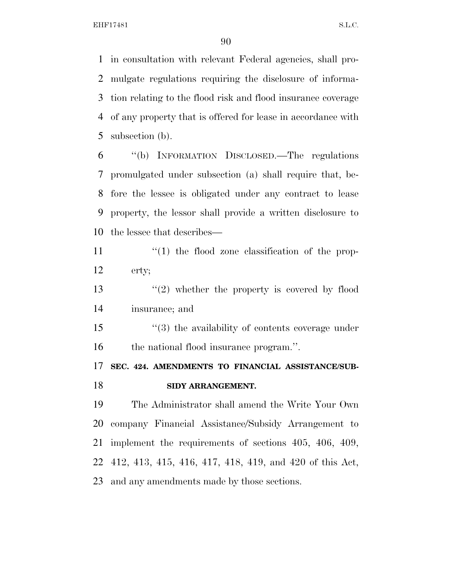in consultation with relevant Federal agencies, shall pro- mulgate regulations requiring the disclosure of informa- tion relating to the flood risk and flood insurance coverage of any property that is offered for lease in accordance with subsection (b).

 ''(b) INFORMATION DISCLOSED.—The regulations promulgated under subsection (a) shall require that, be- fore the lessee is obligated under any contract to lease property, the lessor shall provide a written disclosure to the lessee that describes—

11  $\frac{1}{2}$  (1) the flood zone classification of the prop-erty;

13 ''(2) whether the property is covered by flood insurance; and

 ''(3) the availability of contents coverage under the national flood insurance program.''.

 **SEC. 424. AMENDMENTS TO FINANCIAL ASSISTANCE/SUB-SIDY ARRANGEMENT.** 

 The Administrator shall amend the Write Your Own company Financial Assistance/Subsidy Arrangement to implement the requirements of sections 405, 406, 409, 412, 413, 415, 416, 417, 418, 419, and 420 of this Act, and any amendments made by those sections.